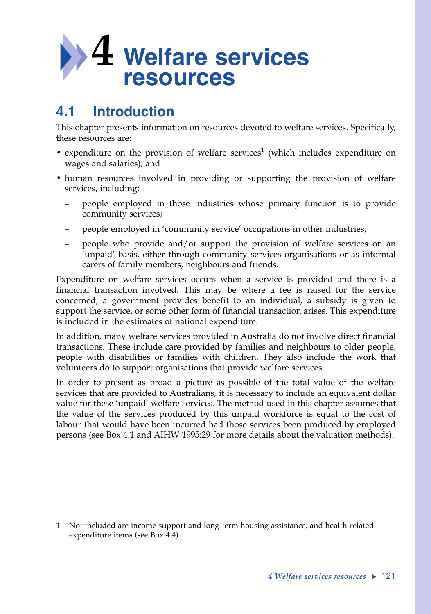

# **4.1 Introduction**

This chapter presents information on resources devoted to welfare services. Specifically, these resources are:

- expenditure on the provision of welfare services<sup>1</sup> (which includes expenditure on wages and salaries); and
- human resources involved in providing or supporting the provision of welfare services, including:
	- people employed in those industries whose primary function is to provide community services;
	- people employed in 'community service' occupations in other industries;
	- people who provide and/or support the provision of welfare services on an 'unpaid' basis, either through community services organisations or as informal carers of family members, neighbours and friends.

Expenditure on welfare services occurs when a service is provided and there is a financial transaction involved. This may be where a fee is raised for the service concerned, a government provides benefit to an individual, a subsidy is given to support the service, or some other form of financial transaction arises. This expenditure is included in the estimates of national expenditure.

In addition, many welfare services provided in Australia do not involve direct financial transactions. These include care provided by families and neighbours to older people, people with disabilities or families with children. They also include the work that volunteers do to support organisations that provide welfare services.

In order to present as broad a picture as possible of the total value of the welfare services that are provided to Australians, it is necessary to include an equivalent dollar value for these 'unpaid' welfare services. The method used in this chapter assumes that the value of the services produced by this unpaid workforce is equal to the cost of labour that would have been incurred had those services been produced by employed persons (see Box 4.1 and AIHW 1995:29 for more details about the valuation methods).

<sup>1</sup> Not included are income support and long-term housing assistance, and health-related expenditure items (see Box 4.4).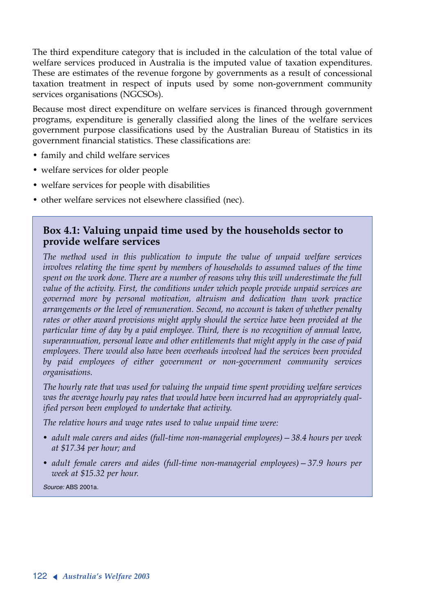The third expenditure category that is included in the calculation of the total value of welfare services produced in Australia is the imputed value of taxation expenditures. These are estimates of the revenue forgone by governments as a result of concessional taxation treatment in respect of inputs used by some non-government community services organisations (NGCSOs).

Because most direct expenditure on welfare services is financed through government programs, expenditure is generally classified along the lines of the welfare services government purpose classifications used by the Australian Bureau of Statistics in its government financial statistics. These classifications are:

- family and child welfare services
- welfare services for older people
- welfare services for people with disabilities
- other welfare services not elsewhere classified (nec).

### **Box 4.1: Valuing unpaid time used by the households sector to provide welfare services**

*The method used in this publication to impute the value of unpaid welfare services involves relating the time spent by members of households to assumed values of the time spent on the work done. There are a number of reasons why this will underestimate the full value of the activity. First, the conditions under which people provide unpaid services are governed more by personal motivation, altruism and dedication than work practice arrangements or the level of remuneration. Second, no account is taken of whether penalty rates or other award provisions might apply should the service have been provided at the particular time of day by a paid employee. Third, there is no recognition of annual leave, superannuation, personal leave and other entitlements that might apply in the case of paid employees. There would also have been overheads involved had the services been provided by paid employees of either government or non-government community services organisations.*

*The hourly rate that was used for valuing the unpaid time spent providing welfare services was the average hourly pay rates that would have been incurred had an appropriately qualified person been employed to undertake that activity.*

*The relative hours and wage rates used to value unpaid time were:*

- *• adult male carers and aides (full-time non-managerial employees)—38.4 hours per week at \$17.34 per hour; and*
- *• adult female carers and aides (full-time non-managerial employees)—37.9 hours per week at \$15.32 per hour.*

*Source:* ABS 2001a.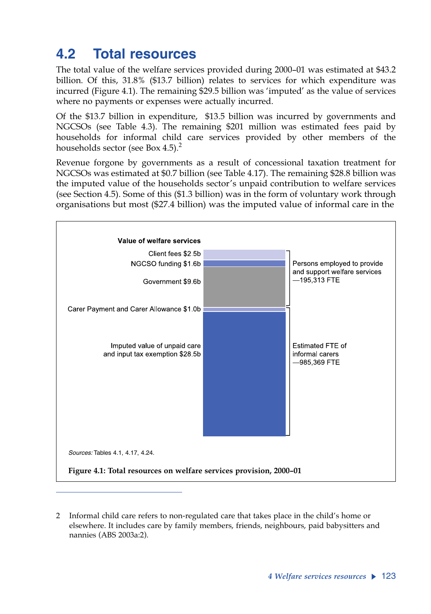# **4.2 Total resources**

The total value of the welfare services provided during 2000–01 was estimated at \$43.2 billion. Of this, 31.8% (\$13.7 billion) relates to services for which expenditure was incurred (Figure 4.1). The remaining \$29.5 billion was 'imputed' as the value of services where no payments or expenses were actually incurred.

Of the \$13.7 billion in expenditure, \$13.5 billion was incurred by governments and NGCSOs (see Table 4.3). The remaining \$201 million was estimated fees paid by households for informal child care services provided by other members of the households sector (see Box 4.5).<sup>2</sup>

Revenue forgone by governments as a result of concessional taxation treatment for NGCSOs was estimated at \$0.7 billion (see Table 4.17). The remaining \$28.8 billion was the imputed value of the households sector's unpaid contribution to welfare services (see Section 4.5). Some of this (\$1.3 billion) was in the form of voluntary work through organisations but most (\$27.4 billion) was the imputed value of informal care in the



<sup>2</sup> Informal child care refers to non-regulated care that takes place in the child's home or elsewhere. It includes care by family members, friends, neighbours, paid babysitters and nannies (ABS 2003a:2).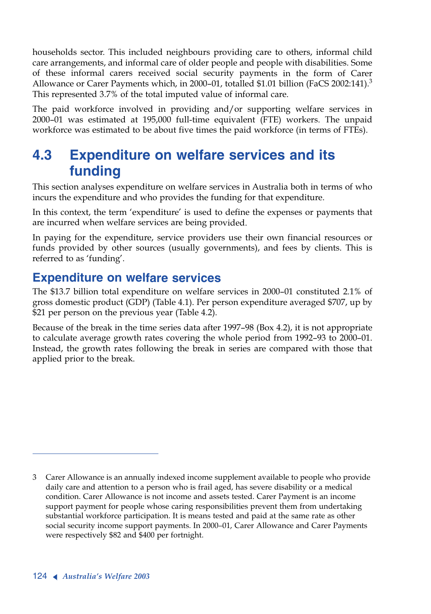households sector. This included neighbours providing care to others, informal child care arrangements, and informal care of older people and people with disabilities. Some of these informal carers received social security payments in the form of Carer Allowance or Carer Payments which, in 2000–01, totalled \$1.01 billion (FaCS 2002:141). $3$ This represented 3.7% of the total imputed value of informal care.

The paid workforce involved in providing and/or supporting welfare services in 2000–01 was estimated at 195,000 full-time equivalent (FTE) workers. The unpaid workforce was estimated to be about five times the paid workforce (in terms of FTEs).

# **4.3 Expenditure on welfare services and its funding**

This section analyses expenditure on welfare services in Australia both in terms of who incurs the expenditure and who provides the funding for that expenditure.

In this context, the term 'expenditure' is used to define the expenses or payments that are incurred when welfare services are being provided.

In paying for the expenditure, service providers use their own financial resources or funds provided by other sources (usually governments), and fees by clients. This is referred to as 'funding'.

## **Expenditure on welfare services**

The \$13.7 billion total expenditure on welfare services in 2000–01 constituted 2.1% of gross domestic product (GDP) (Table 4.1). Per person expenditure averaged \$707, up by \$21 per person on the previous year (Table 4.2).

Because of the break in the time series data after 1997–98 (Box 4.2), it is not appropriate to calculate average growth rates covering the whole period from 1992–93 to 2000–01. Instead, the growth rates following the break in series are compared with those that applied prior to the break.

<sup>3</sup> Carer Allowance is an annually indexed income supplement available to people who provide daily care and attention to a person who is frail aged, has severe disability or a medical condition. Carer Allowance is not income and assets tested. Carer Payment is an income support payment for people whose caring responsibilities prevent them from undertaking substantial workforce participation. It is means tested and paid at the same rate as other social security income support payments. In 2000–01, Carer Allowance and Carer Payments were respectively \$82 and \$400 per fortnight.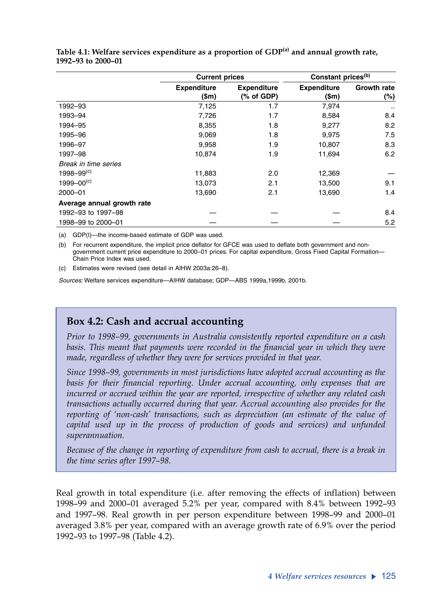|                            | <b>Current prices</b>       |                                  | Constant prices <sup>(b)</sup>      |                           |
|----------------------------|-----------------------------|----------------------------------|-------------------------------------|---------------------------|
|                            | <b>Expenditure</b><br>(\$m) | <b>Expenditure</b><br>(% of GDP) | <b>Expenditure</b><br>$(\text{Sm})$ | <b>Growth rate</b><br>(%) |
| 1992-93                    | 7,125                       | 1.7                              | 7,974                               | $\cdot$ .                 |
| 1993-94                    | 7,726                       | 1.7                              | 8,584                               | 8.4                       |
| 1994-95                    | 8,355                       | 1.8                              | 9,277                               | 8.2                       |
| 1995-96                    | 9,069                       | 1.8                              | 9,975                               | 7.5                       |
| 1996-97                    | 9,958                       | 1.9                              | 10,807                              | 8.3                       |
| 1997-98                    | 10.874                      | 1.9                              | 11,694                              | 6.2                       |
| Break in time series       |                             |                                  |                                     |                           |
| $1998 - 99(c)$             | 11,883                      | 2.0                              | 12,369                              |                           |
| $1999 - 00^{(c)}$          | 13,073                      | 2.1                              | 13,500                              | 9.1                       |
| 2000-01                    | 13,690                      | 2.1                              | 13,690                              | 1.4                       |
| Average annual growth rate |                             |                                  |                                     |                           |
| 1992-93 to 1997-98         |                             |                                  |                                     | 8.4                       |
| 1998-99 to 2000-01         |                             |                                  |                                     | 5.2                       |

#### **Table 4.1: Welfare services expenditure as a proportion of GDP(a) and annual growth rate, 1992–93 to 2000–01**

(a) GDP(I)—the income-based estimate of GDP was used.

(b) For recurrent expenditure, the implicit price deflator for GFCE was used to deflate both government and nongovernment current price expenditure to 2000–01 prices. For capital expenditure, Gross Fixed Capital Formation— Chain Price Index was used.

(c) Estimates were revised (see detail in AIHW 2003a:26–8).

*Sources:* Welfare services expenditure—AIHW database; GDP—ABS 1999a,1999b, 2001b.

## **Box 4.2: Cash and accrual accounting**

*Prior to 1998–99, governments in Australia consistently reported expenditure on a cash basis. This meant that payments were recorded in the financial year in which they were* made, regardless of whether they were for services provided in that year.

*Since 1998–99, governments in most jurisdictions have adopted accrual accounting as the basis for their financial reporting. Under accrual accounting, only expenses that are incurred or accrued within the year are reported, irrespective of whether any related cash transactions actually occurred during that year. Accrual accounting also provides for the reporting of 'non-cash' transactions, such as depreciation (an estimate of the value of capital used up in the process of production of goods and services) and unfunded superannuation.*

*Because of the change in reporting of expenditure from cash to accrual, there is a break in the time series after 1997–98.*

Real growth in total expenditure (i.e. after removing the effects of inflation) between 1998–99 and 2000–01 averaged 5.2% per year, compared with 8.4% between 1992–93 and 1997–98. Real growth in per person expenditure between 1998–99 and 2000–01 averaged 3.8% per year, compared with an average growth rate of 6.9% over the period 1992–93 to 1997–98 (Table 4.2).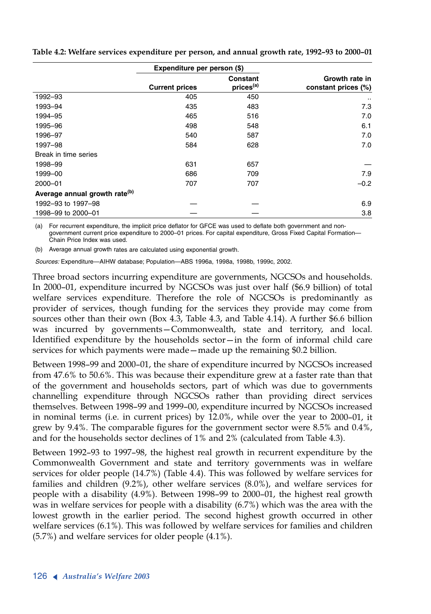|                                           | Expenditure per person (\$) |                                   |                                       |
|-------------------------------------------|-----------------------------|-----------------------------------|---------------------------------------|
|                                           | <b>Current prices</b>       | Constant<br>prices <sup>(a)</sup> | Growth rate in<br>constant prices (%) |
| 1992-93                                   | 405                         | 450                               |                                       |
| 1993-94                                   | 435                         | 483                               | 7.3                                   |
| 1994-95                                   | 465                         | 516                               | 7.0                                   |
| 1995-96                                   | 498                         | 548                               | 6.1                                   |
| 1996-97                                   | 540                         | 587                               | 7.0                                   |
| 1997-98                                   | 584                         | 628                               | 7.0                                   |
| Break in time series                      |                             |                                   |                                       |
| 1998-99                                   | 631                         | 657                               |                                       |
| 1999-00                                   | 686                         | 709                               | 7.9                                   |
| $2000 - 01$                               | 707                         | 707                               | $-0.2$                                |
| Average annual growth rate <sup>(b)</sup> |                             |                                   |                                       |
| 1992-93 to 1997-98                        |                             |                                   | 6.9                                   |
| 1998-99 to 2000-01                        |                             |                                   | 3.8                                   |

**Table 4.2: Welfare services expenditure per person, and annual growth rate, 1992–93 to 2000–01**

(a) For recurrent expenditure, the implicit price deflator for GFCE was used to deflate both government and nongovernment current price expenditure to 2000–01 prices. For capital expenditure, Gross Fixed Capital Formation— Chain Price Index was used.

(b) Average annual growth rates are calculated using exponential growth.

*Sources:* Expenditure—AIHW database; Population—ABS 1996a, 1998a, 1998b, 1999c, 2002.

Three broad sectors incurring expenditure are governments, NGCSOs and households. In 2000–01, expenditure incurred by NGCSOs was just over half (\$6.9 billion) of total welfare services expenditure. Therefore the role of NGCSOs is predominantly as provider of services, though funding for the services they provide may come from sources other than their own (Box 4.3, Table 4.3, and Table 4.14). A further \$6.6 billion was incurred by governments—Commonwealth, state and territory, and local. Identified expenditure by the households sector—in the form of informal child care services for which payments were made—made up the remaining \$0.2 billion.

Between 1998–99 and 2000–01, the share of expenditure incurred by NGCSOs increased from 47.6% to 50.6%. This was because their expenditure grew at a faster rate than that of the government and households sectors, part of which was due to governments channelling expenditure through NGCSOs rather than providing direct services themselves. Between 1998–99 and 1999–00, expenditure incurred by NGCSOs increased in nominal terms (i.e. in current prices) by 12.0%, while over the year to 2000–01, it grew by 9.4%. The comparable figures for the government sector were 8.5% and 0.4%, and for the households sector declines of 1% and 2% (calculated from Table 4.3).

Between 1992–93 to 1997–98, the highest real growth in recurrent expenditure by the Commonwealth Government and state and territory governments was in welfare services for older people (14.7%) (Table 4.4). This was followed by welfare services for families and children (9.2%), other welfare services (8.0%), and welfare services for people with a disability (4.9%). Between 1998–99 to 2000–01, the highest real growth was in welfare services for people with a disability (6.7%) which was the area with the lowest growth in the earlier period. The second highest growth occurred in other welfare services (6.1%). This was followed by welfare services for families and children (5.7%) and welfare services for older people (4.1%).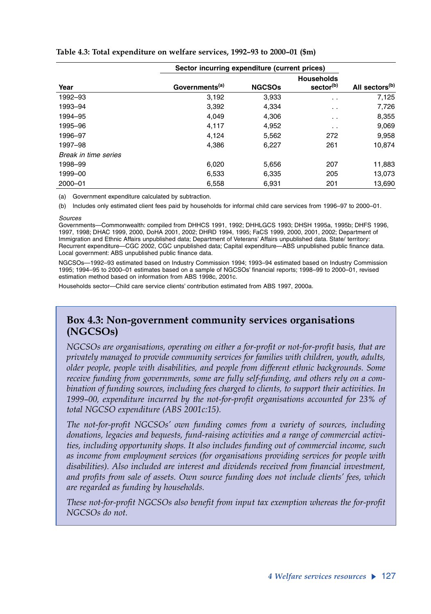|                      | Sector incurring expenditure (current prices) |               |                                            |                            |
|----------------------|-----------------------------------------------|---------------|--------------------------------------------|----------------------------|
| Year                 | Governments <sup>(a)</sup>                    | <b>NGCSOs</b> | <b>Households</b><br>sector <sup>(b)</sup> | All sectors <sup>(b)</sup> |
| 1992-93              | 3,192                                         | 3,933         | $\ddotsc$                                  | 7,125                      |
| 1993-94              | 3,392                                         | 4.334         | $\cdot$ .                                  | 7,726                      |
| 1994-95              | 4.049                                         | 4.306         | $\cdot$ .                                  | 8,355                      |
| 1995-96              | 4,117                                         | 4,952         | $\cdot$ .                                  | 9,069                      |
| 1996-97              | 4.124                                         | 5.562         | 272                                        | 9,958                      |
| 1997-98              | 4.386                                         | 6,227         | 261                                        | 10.874                     |
| Break in time series |                                               |               |                                            |                            |
| 1998-99              | 6.020                                         | 5,656         | 207                                        | 11,883                     |
| 1999-00              | 6,533                                         | 6,335         | 205                                        | 13,073                     |
| 2000-01              | 6,558                                         | 6,931         | 201                                        | 13,690                     |

#### **Table 4.3: Total expenditure on welfare services, 1992–93 to 2000–01 (\$m)**

(a) Government expenditure calculated by subtraction.

(b) Includes only estimated client fees paid by households for informal child care services from 1996–97 to 2000–01.

#### *Sources*

Governments—Commonwealth: compiled from DHHCS 1991, 1992; DHHLGCS 1993; DHSH 1995a, 1995b; DHFS 1996, 1997, 1998; DHAC 1999, 2000, DoHA 2001, 2002; DHRD 1994, 1995; FaCS 1999, 2000, 2001, 2002; Department of Immigration and Ethnic Affairs unpublished data; Department of Veterans' Affairs unpublished data. State/ territory: Recurrent expenditure—CGC 2002, CGC unpublished data; Capital expenditure—ABS unpublished public finance data. Local government: ABS unpublished public finance data.

NGCSOs—1992–93 estimated based on Industry Commission 1994; 1993–94 estimated based on Industry Commission 1995; 1994–95 to 2000–01 estimates based on a sample of NGCSOs' financial reports; 1998–99 to 2000–01, revised estimation method based on information from ABS 1998c, 2001c.

Households sector—Child care service clients' contribution estimated from ABS 1997, 2000a.

## **Box 4.3: Non-government community services organisations (NGCSOs)**

*NGCSOs are organisations, operating on either a for-profit or not-for-profit basis, that are privately managed to provide community services for families with children, youth, adults, older people, people with disabilities, and people from different ethnic backgrounds. Some receive funding from governments, some are fully self-funding, and others rely on a combination of funding sources, including fees charged to clients, to support their activities. In 1999–00, expenditure incurred by the not-for-profit organisations accounted for 23% of total NGCSO expenditure (ABS 2001c:15).*

*The not-for-profit NGCSOs' own funding comes from a variety of sources, including donations, legacies and bequests, fund-raising activities and a range of commercial activities, including opportunity shops. It also includes funding out of commercial income, such as income from employment services (for organisations providing services for people with disabilities). Also included are interest and dividends received from financial investment, and profits from sale of assets. Own source funding does not include clients' fees, which are regarded as funding by households.*

*These not-for-profit NGCSOs also benefit from input tax exemption whereas the for-profit NGCSOs do not.*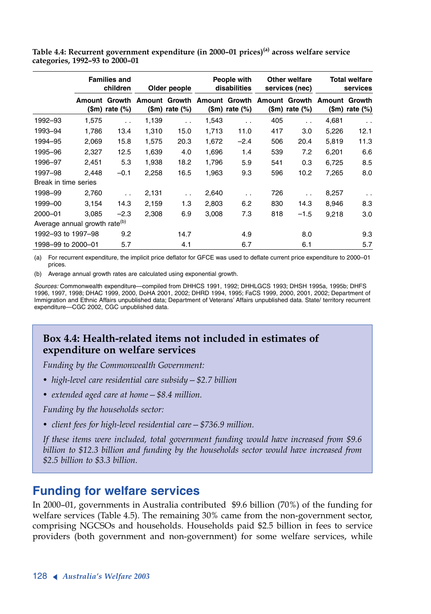**Table 4.4: Recurrent government expenditure (in 2000–01 prices)(a) across welfare service categories, 1992–93 to 2000–01**

|                                           |       | <b>Families and</b><br>children        | Older people |                           |       | People with<br>disabilities |     | <b>Other welfare</b><br>services (nec) |                                                         | <b>Total welfare</b><br>services |  |
|-------------------------------------------|-------|----------------------------------------|--------------|---------------------------|-------|-----------------------------|-----|----------------------------------------|---------------------------------------------------------|----------------------------------|--|
|                                           |       | <b>Amount Growth</b><br>(\$m) rate (%) |              | $(\text{Sm})$ rate $(\%)$ |       | $$m)$ rate $%$              |     | (\$m) rate (%)                         | Amount Growth Amount Growth Amount Growth Amount Growth | $(\text{Sm})$ rate $(\%)$        |  |
| 1992-93                                   | 1,575 | $\ddot{\phantom{a}}$                   | 1,139        | $\ddot{\phantom{0}}$      | 1,543 | $\ddot{\phantom{0}}$        | 405 | $\ddot{\phantom{0}}$                   | 4,681                                                   | $\ddot{\phantom{0}}$             |  |
| 1993-94                                   | 1.786 | 13.4                                   | 1,310        | 15.0                      | 1,713 | 11.0                        | 417 | 3.0                                    | 5,226                                                   | 12.1                             |  |
| 1994-95                                   | 2,069 | 15.8                                   | 1,575        | 20.3                      | 1,672 | $-2.4$                      | 506 | 20.4                                   | 5,819                                                   | 11.3                             |  |
| 1995-96                                   | 2,327 | 12.5                                   | 1,639        | 4.0                       | 1,696 | 1.4                         | 539 | 7.2                                    | 6,201                                                   | 6.6                              |  |
| 1996-97                                   | 2,451 | 5.3                                    | 1,938        | 18.2                      | 1,796 | 5.9                         | 541 | 0.3                                    | 6,725                                                   | 8.5                              |  |
| 1997-98                                   | 2,448 | $-0.1$                                 | 2,258        | 16.5                      | 1,963 | 9.3                         | 596 | 10.2                                   | 7,265                                                   | 8.0                              |  |
| Break in time series                      |       |                                        |              |                           |       |                             |     |                                        |                                                         |                                  |  |
| 1998-99                                   | 2,760 | $\ddot{\phantom{0}}$                   | 2,131        | $\ddot{\phantom{0}}$      | 2,640 | $\ddot{\phantom{0}}$        | 726 | $\ddot{\phantom{0}}$                   | 8,257                                                   | $\ddot{\phantom{0}}$             |  |
| 1999-00                                   | 3,154 | 14.3                                   | 2,159        | 1.3                       | 2,803 | 6.2                         | 830 | 14.3                                   | 8,946                                                   | 8.3                              |  |
| $2000 - 01$                               | 3.085 | $-2.3$                                 | 2,308        | 6.9                       | 3,008 | 7.3                         | 818 | $-1.5$                                 | 9,218                                                   | 3.0                              |  |
| Average annual growth rate <sup>(b)</sup> |       |                                        |              |                           |       |                             |     |                                        |                                                         |                                  |  |
| 1992-93 to 1997-98                        |       | 9.2                                    |              | 14.7                      |       | 4.9                         |     | 8.0                                    |                                                         | 9.3                              |  |
| 1998-99 to 2000-01                        |       | 5.7                                    |              | 4.1                       |       | 6.7                         |     | 6.1                                    |                                                         | 5.7                              |  |

(a) For recurrent expenditure, the implicit price deflator for GFCE was used to deflate current price expenditure to 2000–01 prices.

(b) Average annual growth rates are calculated using exponential growth.

*Sources:* Commonwealth expenditure—compiled from DHHCS 1991, 1992; DHHLGCS 1993; DHSH 1995a, 1995b; DHFS 1996, 1997, 1998; DHAC 1999, 2000, DoHA 2001, 2002; DHRD 1994, 1995; FaCS 1999, 2000, 2001, 2002; Department of Immigration and Ethnic Affairs unpublished data; Department of Veterans' Affairs unpublished data. State/ territory recurrent expenditure—CGC 2002, CGC unpublished data.

## **Box 4.4: Health-related items not included in estimates of expenditure on welfare services**

*Funding by the Commonwealth Government:*

- *• high-level care residential care subsidy—\$2.7 billion*
- *• extended aged care at home—\$8.4 million.*

*Funding by the households sector:*

*• client fees for high-level residential care—\$736.9 million.*

*If these items were included, total government funding would have increased from \$9.6 billion to \$12.3 billion and funding by the households sector would have increased from \$2.5 billion to \$3.3 billion.*

## **Funding for welfare services**

In 2000–01, governments in Australia contributed \$9.6 billion (70%) of the funding for welfare services (Table 4.5). The remaining 30% came from the non-government sector, comprising NGCSOs and households. Households paid \$2.5 billion in fees to service providers (both government and non-government) for some welfare services, while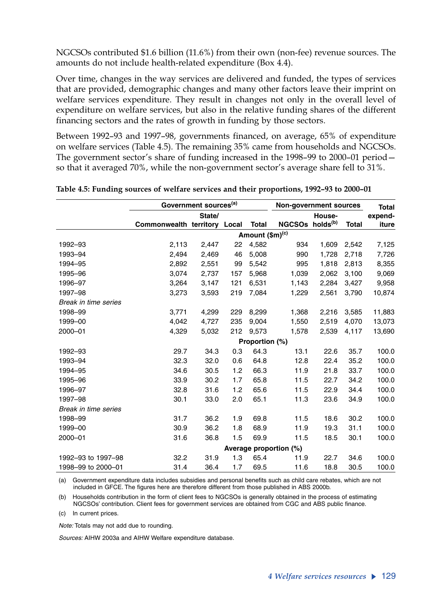NGCSOs contributed \$1.6 billion (11.6%) from their own (non-fee) revenue sources. The amounts do not include health-related expenditure (Box 4.4).

Over time, changes in the way services are delivered and funded, the types of services that are provided, demographic changes and many other factors leave their imprint on welfare services expenditure. They result in changes not only in the overall level of expenditure on welfare services, but also in the relative funding shares of the different financing sectors and the rates of growth in funding by those sectors.

Between 1992–93 and 1997–98, governments financed, on average, 65% of expenditure on welfare services (Table 4.5). The remaining 35% came from households and NGCSOs. The government sector's share of funding increased in the 1998–99 to 2000–01 period so that it averaged 70%, while the non-government sector's average share fell to 31%.

|                      | Government sources <sup>(a)</sup> |        |     |                 | Non-government sources      |        |              | <b>Total</b> |
|----------------------|-----------------------------------|--------|-----|-----------------|-----------------------------|--------|--------------|--------------|
|                      |                                   | State/ |     |                 |                             | House- |              | expend-      |
|                      | Commonwealth territory Local      |        |     | Total           | NGCSOs holds <sup>(b)</sup> |        | <b>Total</b> | iture        |
|                      |                                   |        |     | Amount (\$m)(c) |                             |        |              |              |
| 1992-93              | 2,113                             | 2,447  | 22  | 4,582           | 934                         | 1.609  | 2,542        | 7,125        |
| 1993-94              | 2,494                             | 2,469  | 46  | 5,008           | 990                         | 1.728  | 2,718        | 7,726        |
| 1994-95              | 2,892                             | 2,551  | 99  | 5,542           | 995                         | 1,818  | 2,813        | 8,355        |
| 1995-96              | 3,074                             | 2,737  | 157 | 5.968           | 1,039                       | 2.062  | 3,100        | 9,069        |
| 1996-97              | 3,264                             | 3,147  | 121 | 6,531           | 1,143                       | 2,284  | 3,427        | 9,958        |
| 1997-98              | 3,273                             | 3,593  | 219 | 7,084           | 1,229                       | 2,561  | 3,790        | 10,874       |
| Break in time series |                                   |        |     |                 |                             |        |              |              |
| 1998-99              | 3,771                             | 4,299  | 229 | 8,299           | 1,368                       | 2,216  | 3,585        | 11,883       |
| 1999-00              | 4.042                             | 4,727  | 235 | 9.004           | 1,550                       | 2.519  | 4,070        | 13,073       |
| 2000-01              | 4,329                             | 5,032  | 212 | 9,573           | 1,578                       | 2,539  | 4,117        | 13,690       |
|                      |                                   |        |     | Proportion (%)  |                             |        |              |              |
| 1992-93              | 29.7                              | 34.3   | 0.3 | 64.3            | 13.1                        | 22.6   | 35.7         | 100.0        |
| 1993-94              | 32.3                              | 32.0   | 0.6 | 64.8            | 12.8                        | 22.4   | 35.2         | 100.0        |
| 1994-95              | 34.6                              | 30.5   | 1.2 | 66.3            | 11.9                        | 21.8   | 33.7         | 100.0        |
| 1995-96              | 33.9                              | 30.2   | 1.7 | 65.8            | 11.5                        | 22.7   | 34.2         | 100.0        |
| 1996-97              | 32.8                              | 31.6   | 1.2 | 65.6            | 11.5                        | 22.9   | 34.4         | 100.0        |
| 1997-98              | 30.1                              | 33.0   | 2.0 | 65.1            | 11.3                        | 23.6   | 34.9         | 100.0        |
| Break in time series |                                   |        |     |                 |                             |        |              |              |
| 1998-99              | 31.7                              | 36.2   | 1.9 | 69.8            | 11.5                        | 18.6   | 30.2         | 100.0        |
| 1999-00              | 30.9                              | 36.2   | 1.8 | 68.9            | 11.9                        | 19.3   | 31.1         | 100.0        |
| 2000-01              | 31.6                              | 36.8   | 1.5 | 69.9            | 11.5                        | 18.5   | 30.1         | 100.0        |
|                      |                                   |        |     |                 | Average proportion (%)      |        |              |              |
| 1992-93 to 1997-98   | 32.2                              | 31.9   | 1.3 | 65.4            | 11.9                        | 22.7   | 34.6         | 100.0        |
| 1998-99 to 2000-01   | 31.4                              | 36.4   | 1.7 | 69.5            | 11.6                        | 18.8   | 30.5         | 100.0        |

**Table 4.5: Funding sources of welfare services and their proportions, 1992–93 to 2000–01** 

(a) Government expenditure data includes subsidies and personal benefits such as child care rebates, which are not included in GFCE. The figures here are therefore different from those published in ABS 2000b.

(b) Households contribution in the form of client fees to NGCSOs is generally obtained in the process of estimating NGCSOs' contribution. Client fees for government services are obtained from CGC and ABS public finance.

(c) In current prices.

*Note:* Totals may not add due to rounding.

*Sources:* AIHW 2003a and AIHW Welfare expenditure database.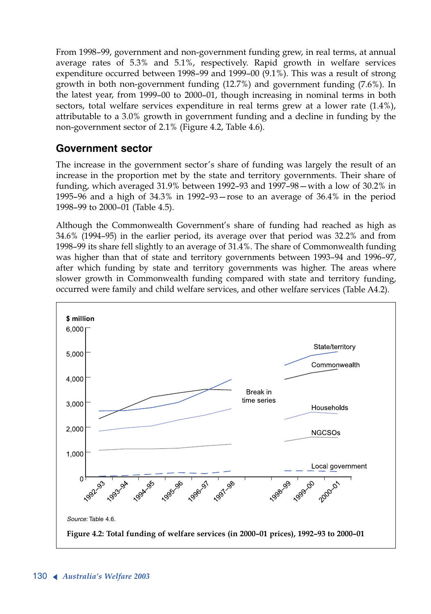From 1998–99, government and non-government funding grew, in real terms, at annual average rates of 5.3% and 5.1%, respectively. Rapid growth in welfare services expenditure occurred between 1998–99 and 1999–00 (9.1%). This was a result of strong growth in both non-government funding (12.7%) and government funding (7.6%). In the latest year, from 1999–00 to 2000–01, though increasing in nominal terms in both sectors, total welfare services expenditure in real terms grew at a lower rate (1.4%), attributable to a 3.0% growth in government funding and a decline in funding by the non-government sector of 2.1% (Figure 4.2, Table 4.6).

## **Government sector**

The increase in the government sector's share of funding was largely the result of an increase in the proportion met by the state and territory governments. Their share of funding, which averaged 31.9% between 1992–93 and 1997–98—with a low of 30.2% in 1995–96 and a high of 34.3% in 1992–93—rose to an average of 36.4% in the period 1998–99 to 2000–01 (Table 4.5).

Although the Commonwealth Government's share of funding had reached as high as 34.6% (1994–95) in the earlier period, its average over that period was 32.2% and from 1998–99 its share fell slightly to an average of 31.4%. The share of Commonwealth funding was higher than that of state and territory governments between 1993–94 and 1996–97, after which funding by state and territory governments was higher. The areas where slower growth in Commonwealth funding compared with state and territory funding, occurred were family and child welfare services, and other welfare services (Table A4.2).

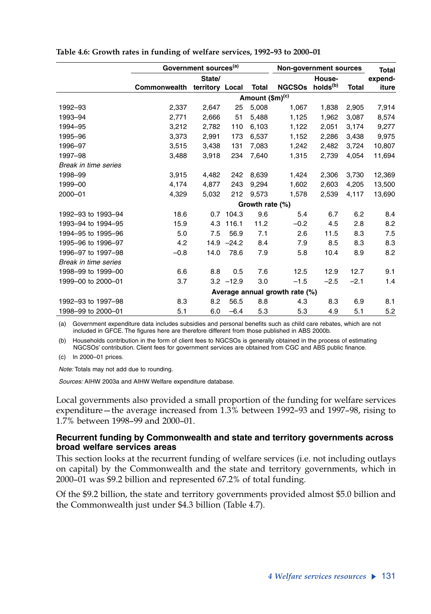|                      |              | Government sources <sup>(a)</sup> |              |                             | <b>Non-government sources</b>  |        |              | <b>Total</b> |
|----------------------|--------------|-----------------------------------|--------------|-----------------------------|--------------------------------|--------|--------------|--------------|
|                      |              | State/                            |              |                             |                                | House- |              | expend-      |
|                      | Commonwealth | territory Local                   |              | Total                       | NGCSOs holds <sup>(b)</sup>    |        | <b>Total</b> | iture        |
|                      |              |                                   |              | Amount (\$m) <sup>(c)</sup> |                                |        |              |              |
| 1992-93              | 2,337        | 2,647                             | 25           | 5.008                       | 1,067                          | 1.838  | 2,905        | 7,914        |
| 1993-94              | 2,771        | 2,666                             | 51           | 5,488                       | 1,125                          | 1,962  | 3,087        | 8,574        |
| 1994-95              | 3,212        | 2,782                             | 110          | 6,103                       | 1,122                          | 2,051  | 3,174        | 9,277        |
| 1995-96              | 3,373        | 2,991                             | 173          | 6,537                       | 1,152                          | 2.286  | 3,438        | 9,975        |
| 1996-97              | 3,515        | 3,438                             | 131          | 7,083                       | 1,242                          | 2,482  | 3,724        | 10,807       |
| 1997-98              | 3,488        | 3,918                             | 234          | 7,640                       | 1,315                          | 2,739  | 4,054        | 11,694       |
| Break in time series |              |                                   |              |                             |                                |        |              |              |
| 1998-99              | 3,915        | 4,482                             | 242          | 8,639                       | 1,424                          | 2,306  | 3,730        | 12,369       |
| 1999-00              | 4,174        | 4.877                             | 243          | 9.294                       | 1,602                          | 2.603  | 4.205        | 13,500       |
| 2000-01              | 4,329        | 5,032                             | 212          | 9,573                       | 1,578                          | 2,539  | 4,117        | 13,690       |
|                      |              |                                   |              | Growth rate (%)             |                                |        |              |              |
| 1992-93 to 1993-94   | 18.6         | 0.7                               | 104.3        | 9.6                         | 5.4                            | 6.7    | 6.2          | 8.4          |
| 1993-94 to 1994-95   | 15.9         | 4.3                               | 116.1        | 11.2                        | $-0.2$                         | 4.5    | 2.8          | 8.2          |
| 1994-95 to 1995-96   | 5.0          | 7.5                               | 56.9         | 7.1                         | 2.6                            | 11.5   | 8.3          | 7.5          |
| 1995-96 to 1996-97   | 4.2          |                                   | $14.9 -24.2$ | 8.4                         | 7.9                            | 8.5    | 8.3          | 8.3          |
| 1996-97 to 1997-98   | $-0.8$       | 14.0                              | 78.6         | 7.9                         | 5.8                            | 10.4   | 8.9          | 8.2          |
| Break in time series |              |                                   |              |                             |                                |        |              |              |
| 1998-99 to 1999-00   | 6.6          | 8.8                               | 0.5          | 7.6                         | 12.5                           | 12.9   | 12.7         | 9.1          |
| 1999-00 to 2000-01   | 3.7          |                                   | $3.2 - 12.9$ | 3.0                         | $-1.5$                         | $-2.5$ | $-2.1$       | 1.4          |
|                      |              |                                   |              |                             | Average annual growth rate (%) |        |              |              |
| 1992-93 to 1997-98   | 8.3          | 8.2                               | 56.5         | 8.8                         | 4.3                            | 8.3    | 6.9          | 8.1          |
| 1998-99 to 2000-01   | 5.1          | 6.0                               | $-6.4$       | 5.3                         | 5.3                            | 4.9    | 5.1          | 5.2          |

#### **Table 4.6: Growth rates in funding of welfare services, 1992–93 to 2000–01**

(a) Government expenditure data includes subsidies and personal benefits such as child care rebates, which are not included in GFCE. The figures here are therefore different from those published in ABS 2000b.

(b) Households contribution in the form of client fees to NGCSOs is generally obtained in the process of estimating NGCSOs' contribution. Client fees for government services are obtained from CGC and ABS public finance.

(c) In 2000–01 prices.

*Note:* Totals may not add due to rounding.

*Sources:* AIHW 2003a and AIHW Welfare expenditure database.

Local governments also provided a small proportion of the funding for welfare services expenditure—the average increased from 1.3% between 1992–93 and 1997–98, rising to 1.7% between 1998–99 and 2000–01.

#### **Recurrent funding by Commonwealth and state and territory governments across broad welfare services areas**

This section looks at the recurrent funding of welfare services (i.e. not including outlays on capital) by the Commonwealth and the state and territory governments, which in 2000–01 was \$9.2 billion and represented 67.2% of total funding.

Of the \$9.2 billion, the state and territory governments provided almost \$5.0 billion and the Commonwealth just under \$4.3 billion (Table 4.7).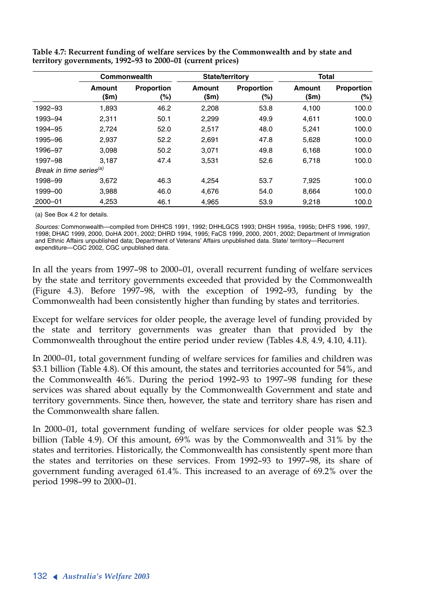|                                     |                   | Commonwealth             | <b>State/territory</b> |                          | <b>Total</b>    |                   |
|-------------------------------------|-------------------|--------------------------|------------------------|--------------------------|-----------------|-------------------|
|                                     | Amount<br>$(\$m)$ | <b>Proportion</b><br>(%) | Amount<br>(\$m)        | <b>Proportion</b><br>(%) | Amount<br>(\$m) | Proportion<br>(%) |
| 1992-93                             | 1,893             | 46.2                     | 2,208                  | 53.8                     | 4,100           | 100.0             |
| 1993-94                             | 2,311             | 50.1                     | 2.299                  | 49.9                     | 4.611           | 100.0             |
| 1994-95                             | 2,724             | 52.0                     | 2,517                  | 48.0                     | 5,241           | 100.0             |
| 1995-96                             | 2,937             | 52.2                     | 2.691                  | 47.8                     | 5,628           | 100.0             |
| 1996-97                             | 3.098             | 50.2                     | 3.071                  | 49.8                     | 6.168           | 100.0             |
| 1997-98                             | 3.187             | 47.4                     | 3,531                  | 52.6                     | 6.718           | 100.0             |
| Break in time series <sup>(a)</sup> |                   |                          |                        |                          |                 |                   |
| 1998-99                             | 3.672             | 46.3                     | 4.254                  | 53.7                     | 7.925           | 100.0             |
| 1999-00                             | 3,988             | 46.0                     | 4.676                  | 54.0                     | 8,664           | 100.0             |
| 2000-01                             | 4,253             | 46.1                     | 4,965                  | 53.9                     | 9,218           | 100.0             |

**Table 4.7: Recurrent funding of welfare services by the Commonwealth and by state and territory governments, 1992–93 to 2000–01 (current prices)**

(a) See Box 4.2 for details.

1998; DHAC 1999, 2000, DoHA 2001, 2002; DHRD 1994, 1995; FaCS 1999, 2000, 2001, 2002; Department of Immigration expenditure—CGC 2002, CGC unpublished data. and Ethnic Affairs unpublished data; Department of Veterans' Affairs unpublished data. State/ territory—Recurrent *Sources:* Commonwealth—compiled from DHHCS 1991, 1992; DHHLGCS 1993; DHSH 1995a, 1995b; DHFS 1996, 1997,

In all the years from 1997–98 to 2000–01, overall recurrent funding of welfare services by the state and territory governments exceeded that provided by the Commonwealth (Figure 4.3). Before 1997–98, with the exception of 1992–93, funding by the Commonwealth had been consistently higher than funding by states and territories.

Except for welfare services for older people, the average level of funding provided by the state and territory governments was greater than that provided by the Commonwealth throughout the entire period under review (Tables 4.8, 4.9, 4.10, 4.11).

In 2000–01, total government funding of welfare services for families and children was \$3.1 billion (Table 4.8). Of this amount, the states and territories accounted for 54%, and the Commonwealth 46%. During the period 1992–93 to 1997–98 funding for these services was shared about equally by the Commonwealth Government and state and territory governments. Since then, however, the state and territory share has risen and the Commonwealth share fallen.

In 2000–01, total government funding of welfare services for older people was \$2.3 billion (Table 4.9). Of this amount, 69% was by the Commonwealth and 31% by the states and territories. Historically, the Commonwealth has consistently spent more than the states and territories on these services. From 1992–93 to 1997–98, its share of government funding averaged 61.4%. This increased to an average of 69.2% over the period 1998–99 to 2000–01.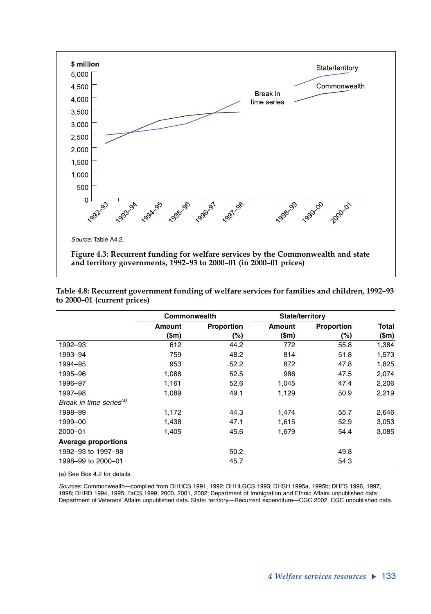

| Table 4.8: Recurrent government funding of welfare services for families and children, 1992-93 |  |
|------------------------------------------------------------------------------------------------|--|
| to 2000–01 (current prices)                                                                    |  |

|                                     | Commonwealth |                   | <b>State/territory</b> |                   |         |
|-------------------------------------|--------------|-------------------|------------------------|-------------------|---------|
|                                     | Amount       | <b>Proportion</b> | Amount                 | <b>Proportion</b> | Total   |
|                                     | (\$m)        | (%)               | (\$m)                  | (%)               | $(\$m)$ |
| 1992-93                             | 612          | 44.2              | 772                    | 55.8              | 1,384   |
| 1993-94                             | 759          | 48.2              | 814                    | 51.8              | 1,573   |
| 1994-95                             | 953          | 52.2              | 872                    | 47.8              | 1,825   |
| 1995-96                             | 1,088        | 52.5              | 986                    | 47.5              | 2,074   |
| 1996-97                             | 1,161        | 52.6              | 1,045                  | 47.4              | 2,206   |
| 1997-98                             | 1,089        | 49.1              | 1,129                  | 50.9              | 2,219   |
| Break in time series <sup>(a)</sup> |              |                   |                        |                   |         |
| 1998-99                             | 1,172        | 44.3              | 1,474                  | 55.7              | 2,646   |
| 1999-00                             | 1,438        | 47.1              | 1,615                  | 52.9              | 3,053   |
| 2000-01                             | 1,405        | 45.6              | 1,679                  | 54.4              | 3,085   |
| <b>Average proportions</b>          |              |                   |                        |                   |         |
| 1992-93 to 1997-98                  |              | 50.2              |                        | 49.8              |         |
| 1998-99 to 2000-01                  |              | 45.7              |                        | 54.3              |         |

(a) See Box 4.2 for details.

1998; DHRD 1994, 1995; FaCS 1999, 2000, 2001, 2002; Department of Immigration and Ethnic Affairs unpublished data; *Sources:* Commonwealth—compiled from DHHCS 1991, 1992; DHHLGCS 1993; DHSH 1995a, 1995b; DHFS 1996, 1997, Department of Veterans' Affairs unpublished data. State/ territory—Recurrent expenditure—CGC 2002, CGC unpublished data.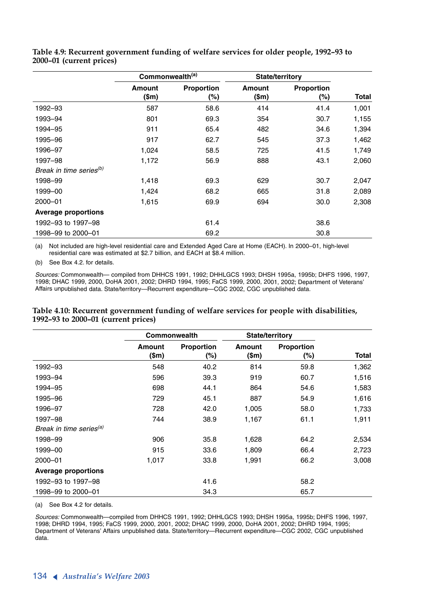|                                     | Commonwealth <sup>(a)</sup> |                   | <b>State/territory</b> |                   |       |
|-------------------------------------|-----------------------------|-------------------|------------------------|-------------------|-------|
|                                     | Amount<br>$(\text{Sm})$     | Proportion<br>(%) | Amount<br>$(\$m)$      | Proportion<br>(%) | Total |
| 1992-93                             | 587                         | 58.6              | 414                    | 41.4              | 1,001 |
| 1993-94                             | 801                         | 69.3              | 354                    | 30.7              | 1,155 |
| 1994-95                             | 911                         | 65.4              | 482                    | 34.6              | 1,394 |
| 1995-96                             | 917                         | 62.7              | 545                    | 37.3              | 1,462 |
| 1996-97                             | 1,024                       | 58.5              | 725                    | 41.5              | 1,749 |
| 1997-98                             | 1,172                       | 56.9              | 888                    | 43.1              | 2,060 |
| Break in time series <sup>(b)</sup> |                             |                   |                        |                   |       |
| 1998-99                             | 1,418                       | 69.3              | 629                    | 30.7              | 2,047 |
| 1999-00                             | 1,424                       | 68.2              | 665                    | 31.8              | 2,089 |
| 2000-01                             | 1,615                       | 69.9              | 694                    | 30.0              | 2,308 |
| <b>Average proportions</b>          |                             |                   |                        |                   |       |
| 1992-93 to 1997-98                  |                             | 61.4              |                        | 38.6              |       |
| 1998-99 to 2000-01                  |                             | 69.2              |                        | 30.8              |       |

**Table 4.9: Recurrent government funding of welfare services for older people, 1992–93 to 2000–01 (current prices)**

(a) Not included are high-level residential care and Extended Aged Care at Home (EACH). In 2000–01, high-level residential care was estimated at \$2.7 billion, and EACH at \$8.4 million.

(b) See Box 4.2. for details.

*Sources:* Commonwealth— compiled from DHHCS 1991, 1992; DHHLGCS 1993; DHSH 1995a, 1995b; DHFS 1996, 1997, 1998; DHAC 1999, 2000, DoHA 2001, 2002; DHRD 1994, 1995; FaCS 1999, 2000, 2001, 2002; Department of Veterans' Affairs unpublished data. State/territory—Recurrent expenditure—CGC 2002, CGC unpublished data.

|                                     | Commonwealth            |                             |                   | <b>State/territory</b>   |       |
|-------------------------------------|-------------------------|-----------------------------|-------------------|--------------------------|-------|
|                                     | Amount<br>$(\text{Sm})$ | <b>Proportion</b><br>$(\%)$ | Amount<br>$(\$m)$ | <b>Proportion</b><br>(%) | Total |
| 1992-93                             | 548                     | 40.2                        | 814               | 59.8                     | 1,362 |
| 1993-94                             | 596                     | 39.3                        | 919               | 60.7                     | 1,516 |
| 1994-95                             | 698                     | 44.1                        | 864               | 54.6                     | 1,583 |
| 1995-96                             | 729                     | 45.1                        | 887               | 54.9                     | 1,616 |
| 1996-97                             | 728                     | 42.0                        | 1,005             | 58.0                     | 1,733 |
| 1997-98                             | 744                     | 38.9                        | 1,167             | 61.1                     | 1,911 |
| Break in time series <sup>(a)</sup> |                         |                             |                   |                          |       |
| 1998-99                             | 906                     | 35.8                        | 1,628             | 64.2                     | 2,534 |
| 1999-00                             | 915                     | 33.6                        | 1,809             | 66.4                     | 2,723 |
| 2000-01                             | 1,017                   | 33.8                        | 1,991             | 66.2                     | 3,008 |
| <b>Average proportions</b>          |                         |                             |                   |                          |       |
| 1992-93 to 1997-98                  |                         | 41.6                        |                   | 58.2                     |       |
| 1998-99 to 2000-01                  |                         | 34.3                        |                   | 65.7                     |       |

#### **Table 4.10: Recurrent government funding of welfare services for people with disabilities, 1992–93 to 2000–01 (current prices)**

(a) See Box 4.2 for details.

1998; DHRD 1994, 1995; FaCS 1999, 2000, 2001, 2002; DHAC 1999, 2000, DoHA 2001, 2002; DHRD 1994, 1995; Department of Veterans' Affairs unpublished data. State/territory—Recurrent expenditure—CGC 2002, CGC unpublished data. *Sources:* Commonwealth—compiled from DHHCS 1991, 1992; DHHLGCS 1993; DHSH 1995a, 1995b; DHFS 1996, 1997,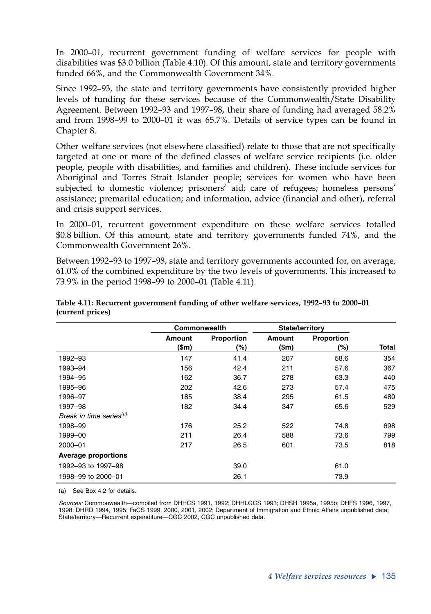In 2000–01, recurrent government funding of welfare services for people with disabilities was \$3.0 billion (Table 4.10). Of this amount, state and territory governments funded 66%, and the Commonwealth Government 34%.

Since 1992–93, the state and territory governments have consistently provided higher levels of funding for these services because of the Commonwealth/State Disability Agreement. Between 1992–93 and 1997–98, their share of funding had averaged 58.2% and from 1998–99 to 2000–01 it was 65.7%. Details of service types can be found in Chapter 8.

Other welfare services (not elsewhere classified) relate to those that are not specifically targeted at one or more of the defined classes of welfare service recipients (i.e. older people, people with disabilities, and families and children). These include services for Aboriginal and Torres Strait Islander people; services for women who have been subjected to domestic violence; prisoners' aid; care of refugees; homeless persons' assistance; premarital education; and information, advice (financial and other), referral and crisis support services.

In 2000–01, recurrent government expenditure on these welfare services totalled \$0.8 billion. Of this amount, state and territory governments funded 74%, and the Commonwealth Government 26%.

Between 1992–93 to 1997–98, state and territory governments accounted for, on average, 61.0% of the combined expenditure by the two levels of governments. This increased to 73.9% in the period 1998–99 to 2000–01 (Table 4.11).

|                                     | Commonwealth            |                   | State/territory         |                   |       |
|-------------------------------------|-------------------------|-------------------|-------------------------|-------------------|-------|
|                                     | Amount<br>$(\text{Sm})$ | Proportion<br>(%) | Amount<br>$(\text{Sm})$ | Proportion<br>(%) | Total |
| 1992-93                             | 147                     | 41.4              | 207                     | 58.6              | 354   |
| 1993-94                             | 156                     | 42.4              | 211                     | 57.6              | 367   |
| 1994-95                             | 162                     | 36.7              | 278                     | 63.3              | 440   |
| 1995-96                             | 202                     | 42.6              | 273                     | 57.4              | 475   |
| 1996-97                             | 185                     | 38.4              | 295                     | 61.5              | 480   |
| 1997-98                             | 182                     | 34.4              | 347                     | 65.6              | 529   |
| Break in time series <sup>(a)</sup> |                         |                   |                         |                   |       |
| 1998-99                             | 176                     | 25.2              | 522                     | 74.8              | 698   |
| 1999-00                             | 211                     | 26.4              | 588                     | 73.6              | 799   |
| 2000-01                             | 217                     | 26.5              | 601                     | 73.5              | 818   |
| <b>Average proportions</b>          |                         |                   |                         |                   |       |
| 1992-93 to 1997-98                  |                         | 39.0              |                         | 61.0              |       |
| 1998-99 to 2000-01                  |                         | 26.1              |                         | 73.9              |       |

#### **Table 4.11: Recurrent government funding of other welfare services, 1992–93 to 2000–01 (current prices)**

(a) See Box 4.2 for details.

1998; DHRD 1994, 1995; FaCS 1999, 2000, 2001, 2002; Department of Immigration and Ethnic Affairs unpublished data; State/territory—Recurrent expenditure—CGC 2002, CGC unpublished data. *Sources:* Commonwealth—compiled from DHHCS 1991, 1992; DHHLGCS 1993; DHSH 1995a, 1995b; DHFS 1996, 1997,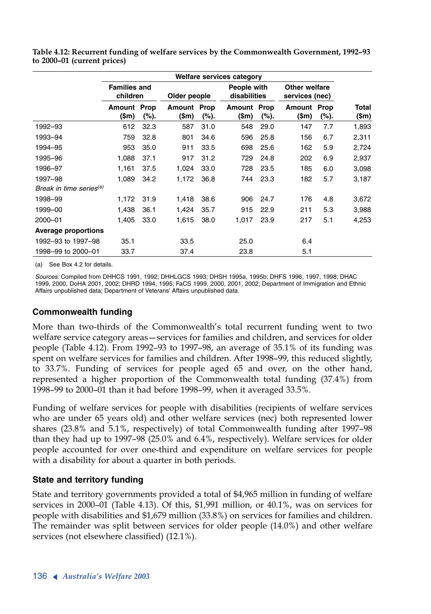|                                     | Welfare services category       |      |                        |      |                             |      |                                 |      |                       |
|-------------------------------------|---------------------------------|------|------------------------|------|-----------------------------|------|---------------------------------|------|-----------------------|
|                                     | <b>Families and</b><br>children |      | Older people           |      | People with<br>disabilities |      | Other welfare<br>services (nec) |      |                       |
|                                     | <b>Amount Prop</b><br>(\$m)     | (%). | Amount Prop<br>$(\$m)$ | (%). | <b>Amount Prop</b><br>(\$m) | (%). | <b>Amount Prop</b><br>(\$m)     | (%). | <b>Total</b><br>(\$m) |
| 1992-93                             | 612                             | 32.3 | 587                    | 31.0 | 548                         | 29.0 | 147                             | 7.7  | 1,893                 |
| 1993-94                             | 759                             | 32.8 | 801                    | 34.6 | 596                         | 25.8 | 156                             | 6.7  | 2,311                 |
| 1994-95                             | 953                             | 35.0 | 911                    | 33.5 | 698                         | 25.6 | 162                             | 5.9  | 2,724                 |
| 1995-96                             | 1,088                           | 37.1 | 917                    | 31.2 | 729                         | 24.8 | 202                             | 6.9  | 2,937                 |
| 1996-97                             | 1,161                           | 37.5 | 1,024                  | 33.0 | 728                         | 23.5 | 185                             | 6.0  | 3,098                 |
| 1997-98                             | 1,089                           | 34.2 | 1,172                  | 36.8 | 744                         | 23.3 | 182                             | 5.7  | 3,187                 |
| Break in time series <sup>(a)</sup> |                                 |      |                        |      |                             |      |                                 |      |                       |
| 1998-99                             | 1,172                           | 31.9 | 1,418                  | 38.6 | 906                         | 24.7 | 176                             | 4.8  | 3,672                 |
| 1999-00                             | 1,438                           | 36.1 | 1,424                  | 35.7 | 915                         | 22.9 | 211                             | 5.3  | 3,988                 |
| 2000-01                             | 1,405                           | 33.0 | 1,615                  | 38.0 | 1,017                       | 23.9 | 217                             | 5.1  | 4,253                 |
| <b>Average proportions</b>          |                                 |      |                        |      |                             |      |                                 |      |                       |
| 1992-93 to 1997-98                  | 35.1                            |      | 33.5                   |      | 25.0                        |      | 6.4                             |      |                       |
| 1998-99 to 2000-01                  | 33.7                            |      | 37.4                   |      | 23.8                        |      | 5.1                             |      |                       |

**Table 4.12: Recurrent funding of welfare services by the Commonwealth Government, 1992–93 to 2000–01 (current prices)**

(a) See Box 4.2 for details.

*Sources:* Compiled from DHHCS 1991, 1992; DHHLGCS 1993; DHSH 1995a, 1995b; DHFS 1996, 1997, 1998; DHAC 1999, 2000, DoHA 2001, 2002; DHRD 1994, 1995; FaCS 1999, 2000, 2001, 2002; Department of Immigration and Ethnic Affairs unpublished data; Department of Veterans' Affairs unpublished data.

### **Commonwealth funding**

More than two-thirds of the Commonwealth's total recurrent funding went to two welfare service category areas—services for families and children, and services for older people (Table 4.12). From 1992–93 to 1997–98, an average of 35.1% of its funding was spent on welfare services for families and children. After 1998–99, this reduced slightly, to 33.7%. Funding of services for people aged 65 and over, on the other hand, represented a higher proportion of the Commonwealth total funding (37.4%) from 1998–99 to 2000–01 than it had before 1998–99, when it averaged 33.5%.

Funding of welfare services for people with disabilities (recipients of welfare services who are under 65 years old) and other welfare services (nec) both represented lower shares (23.8% and 5.1%, respectively) of total Commonwealth funding after 1997–98 than they had up to 1997–98 (25.0% and 6.4%, respectively). Welfare services for older people accounted for over one-third and expenditure on welfare services for people with a disability for about a quarter in both periods.

### **State and territory funding**

State and territory governments provided a total of \$4,965 million in funding of welfare services in 2000–01 (Table 4.13). Of this, \$1,991 million, or 40.1%, was on services for people with disabilities and \$1,679 million (33.8%) on services for families and children. The remainder was split between services for older people (14.0%) and other welfare services (not elsewhere classified) (12.1%).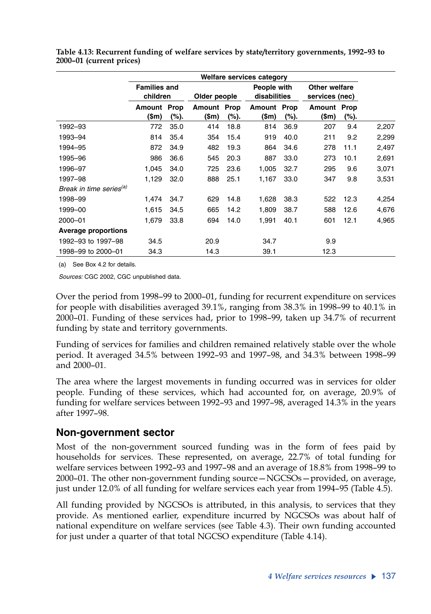|                                     | Welfare services category       |      |                      |              |                      |                             |                      |                                 |       |
|-------------------------------------|---------------------------------|------|----------------------|--------------|----------------------|-----------------------------|----------------------|---------------------------------|-------|
|                                     | <b>Families and</b><br>children |      |                      | Older people |                      | People with<br>disabilities |                      | Other welfare<br>services (nec) |       |
|                                     | Amount Prop<br>(\$m)            | (%). | Amount Prop<br>(\$m) | (%).         | Amount Prop<br>(\$m) | (%).                        | Amount Prop<br>(\$m) | (%).                            |       |
| 1992-93                             | 772                             | 35.0 | 414                  | 18.8         | 814                  | 36.9                        | 207                  | 9.4                             | 2,207 |
| 1993-94                             | 814                             | 35.4 | 354                  | 15.4         | 919                  | 40.0                        | 211                  | 9.2                             | 2,299 |
| 1994-95                             | 872                             | 34.9 | 482                  | 19.3         | 864                  | 34.6                        | 278                  | 11.1                            | 2,497 |
| 1995-96                             | 986                             | 36.6 | 545                  | 20.3         | 887                  | 33.0                        | 273                  | 10.1                            | 2,691 |
| 1996-97                             | 1,045                           | 34.0 | 725                  | 23.6         | 1,005                | 32.7                        | 295                  | 9.6                             | 3,071 |
| 1997-98                             | 1,129                           | 32.0 | 888                  | 25.1         | 1,167                | 33.0                        | 347                  | 9.8                             | 3,531 |
| Break in time series <sup>(a)</sup> |                                 |      |                      |              |                      |                             |                      |                                 |       |
| 1998-99                             | 1,474                           | 34.7 | 629                  | 14.8         | 1,628                | 38.3                        | 522                  | 12.3                            | 4,254 |
| 1999-00                             | 1,615                           | 34.5 | 665                  | 14.2         | 1,809                | 38.7                        | 588                  | 12.6                            | 4,676 |
| 2000-01                             | 1,679                           | 33.8 | 694                  | 14.0         | 1,991                | 40.1                        | 601                  | 12.1                            | 4,965 |
| <b>Average proportions</b>          |                                 |      |                      |              |                      |                             |                      |                                 |       |
| 1992-93 to 1997-98                  | 34.5                            |      | 20.9                 |              | 34.7                 |                             | 9.9                  |                                 |       |
| 1998-99 to 2000-01                  | 34.3                            |      | 14.3                 |              | 39.1                 |                             | 12.3                 |                                 |       |

**Table 4.13: Recurrent funding of welfare services by state/territory governments, 1992–93 to 2000–01 (current prices)**

(a) See Box 4.2 for details.

*Sources:* CGC 2002, CGC unpublished data.

Over the period from 1998–99 to 2000–01, funding for recurrent expenditure on services for people with disabilities averaged 39.1%, ranging from 38.3% in 1998–99 to 40.1% in 2000–01. Funding of these services had, prior to 1998–99, taken up 34.7% of recurrent funding by state and territory governments.

Funding of services for families and children remained relatively stable over the whole period. It averaged 34.5% between 1992–93 and 1997–98, and 34.3% between 1998–99 and 2000–01.

The area where the largest movements in funding occurred was in services for older people. Funding of these services, which had accounted for, on average, 20.9% of funding for welfare services between 1992–93 and 1997–98, averaged 14.3% in the years after 1997–98.

## **Non-government sector**

Most of the non-government sourced funding was in the form of fees paid by households for services. These represented, on average, 22.7% of total funding for welfare services between 1992–93 and 1997–98 and an average of 18.8% from 1998–99 to 2000–01. The other non-government funding source—NGCSOs—provided, on average, just under 12.0% of all funding for welfare services each year from 1994–95 (Table 4.5).

All funding provided by NGCSOs is attributed, in this analysis, to services that they provide. As mentioned earlier, expenditure incurred by NGCSOs was about half of national expenditure on welfare services (see Table 4.3). Their own funding accounted for just under a quarter of that total NGCSO expenditure (Table 4.14).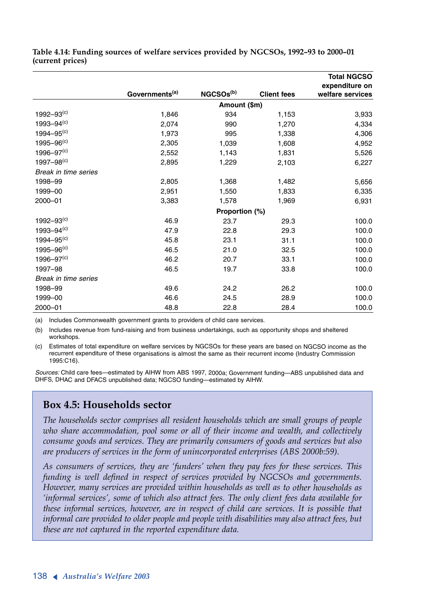|                            |                            |                       |                    | <b>Total NGCSO</b>                 |
|----------------------------|----------------------------|-----------------------|--------------------|------------------------------------|
|                            | Governments <sup>(a)</sup> | NGCSOs <sup>(b)</sup> | <b>Client fees</b> | expenditure on<br>welfare services |
|                            |                            | Amount (\$m)          |                    |                                    |
| $1992 - 93^{(c)}$          | 1,846                      | 934                   | 1,153              | 3,933                              |
| $1993 - 94(c)$             | 2,074                      | 990                   | 1,270              | 4,334                              |
| $1994 - 95^{(c)}$          | 1,973                      | 995                   | 1,338              | 4,306                              |
| $1995 - 96^{(c)}$          | 2,305                      | 1,039                 | 1,608              | 4,952                              |
| $1996 - 97(c)$             | 2,552                      | 1,143                 | 1,831              | 5,526                              |
| $1997 - 98$ <sup>(c)</sup> | 2,895                      | 1,229                 | 2,103              | 6,227                              |
| Break in time series       |                            |                       |                    |                                    |
| 1998-99                    | 2,805                      | 1,368                 | 1,482              | 5,656                              |
| 1999-00                    | 2,951                      | 1,550                 | 1,833              | 6,335                              |
| 2000-01                    | 3,383                      | 1,578                 | 1,969              | 6,931                              |
|                            |                            | Proportion (%)        |                    |                                    |
| $1992 - 93^{(c)}$          | 46.9                       | 23.7                  | 29.3               | 100.0                              |
| $1993 - 94^{(c)}$          | 47.9                       | 22.8                  | 29.3               | 100.0                              |
| $1994 - 95(c)$             | 45.8                       | 23.1                  | 31.1               | 100.0                              |
| $1995 - 96(c)$             | 46.5                       | 21.0                  | 32.5               | 100.0                              |
| $1996 - 97(c)$             | 46.2                       | 20.7                  | 33.1               | 100.0                              |
| 1997-98                    | 46.5                       | 19.7                  | 33.8               | 100.0                              |
| Break in time series       |                            |                       |                    |                                    |
| 1998-99                    | 49.6                       | 24.2                  | 26.2               | 100.0                              |
| 1999-00                    | 46.6                       | 24.5                  | 28.9               | 100.0                              |
| 2000-01                    | 48.8                       | 22.8                  | 28.4               | 100.0                              |

**Table 4.14: Funding sources of welfare services provided by NGCSOs, 1992–93 to 2000–01 (current prices)**

(a) Includes Commonwealth government grants to providers of child care services.

(b) Includes revenue from fund-raising and from business undertakings, such as opportunity shops and sheltered workshops.

(c) Estimates of total expenditure on welfare services by NGCSOs for these years are based on NGCSO income as the recurrent expenditure of these organisations is almost the same as their recurrent income (Industry Commission 1995:C16).

*Sources:* Child care fees—estimated by AIHW from ABS 1997, 2000a; Government funding—ABS unpublished data and DHFS, DHAC and DFACS unpublished data; NGCSO funding—estimated by AIHW.

### **Box 4.5: Households sector**

*The households sector comprises all resident households which are small groups of people who share accommodation, pool some or all of their income and wealth, and collectively consume goods and services. They are primarily consumers of goods and services but also are producers of services in the form of unincorporated enterprises (ABS 2000b:59).*

*As consumers of services, they are 'funders' when they pay fees for these services. This funding is well defined in respect of services provided by NGCSOs and governments. However, many services are provided within households as well as to other households as 'informal services', some of which also attract fees. The only client fees data available for these informal services, however, are in respect of child care services. It is possible that informal care provided to older people and people with disabilities may also attract fees, but these are not captured in the reported expenditure data.*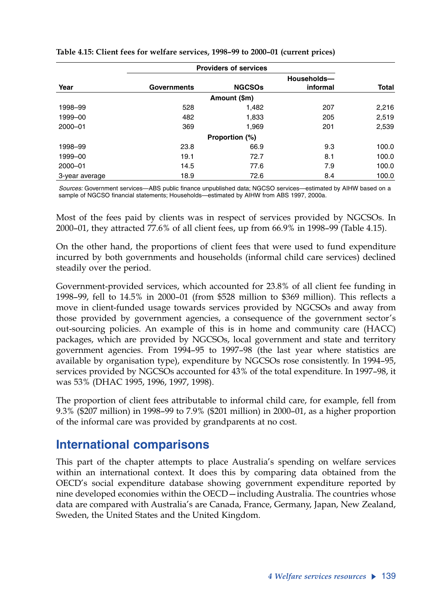|                |             | <b>Providers of services</b> |             |              |
|----------------|-------------|------------------------------|-------------|--------------|
|                |             |                              | Households- |              |
| Year           | Governments | <b>NGCSOs</b>                | informal    | <b>Total</b> |
|                |             | Amount (\$m)                 |             |              |
| 1998-99        | 528         | 1,482                        | 207         | 2,216        |
| 1999-00        | 482         | 1,833                        | 205         | 2,519        |
| 2000-01        | 369         | 1,969                        | 201         | 2,539        |
|                |             | Proportion (%)               |             |              |
| 1998-99        | 23.8        | 66.9                         | 9.3         | 100.0        |
| 1999-00        | 19.1        | 72.7                         | 8.1         | 100.0        |
| 2000-01        | 14.5        | 77.6                         | 7.9         | 100.0        |
| 3-year average | 18.9        | 72.6                         | 8.4         | 100.0        |

#### **Table 4.15: Client fees for welfare services, 1998–99 to 2000–01 (current prices)**

*Sources:* Government services—ABS public finance unpublished data; NGCSO services—estimated by AIHW based on a sample of NGCSO financial statements; Households—estimated by AIHW from ABS 1997, 2000a.

Most of the fees paid by clients was in respect of services provided by NGCSOs. In 2000–01, they attracted 77.6% of all client fees, up from 66.9% in 1998–99 (Table 4.15).

On the other hand, the proportions of client fees that were used to fund expenditure incurred by both governments and households (informal child care services) declined steadily over the period.

Government-provided services, which accounted for 23.8% of all client fee funding in 1998–99, fell to 14.5% in 2000–01 (from \$528 million to \$369 million). This reflects a move in client-funded usage towards services provided by NGCSOs and away from those provided by government agencies, a consequence of the government sector's out-sourcing policies. An example of this is in home and community care (HACC) packages, which are provided by NGCSOs, local government and state and territory government agencies. From 1994–95 to 1997–98 (the last year where statistics are available by organisation type), expenditure by NGCSOs rose consistently. In 1994–95, services provided by NGCSOs accounted for 43% of the total expenditure. In 1997–98, it was 53% (DHAC 1995, 1996, 1997, 1998).

The proportion of client fees attributable to informal child care, for example, fell from 9.3% (\$207 million) in 1998–99 to 7.9% (\$201 million) in 2000–01, as a higher proportion of the informal care was provided by grandparents at no cost.

## **International comparisons**

This part of the chapter attempts to place Australia's spending on welfare services within an international context. It does this by comparing data obtained from the OECD's social expenditure database showing government expenditure reported by nine developed economies within the OECD—including Australia. The countries whose data are compared with Australia's are Canada, France, Germany, Japan, New Zealand, Sweden, the United States and the United Kingdom.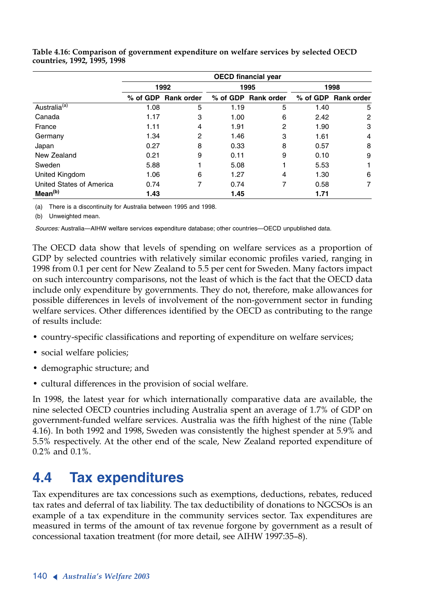|                          | <b>OECD</b> financial year |                     |      |                     |      |                     |  |  |
|--------------------------|----------------------------|---------------------|------|---------------------|------|---------------------|--|--|
|                          |                            | 1992                |      | 1995                | 1998 |                     |  |  |
|                          |                            | % of GDP Rank order |      | % of GDP Rank order |      | % of GDP Rank order |  |  |
| Australia <sup>(a)</sup> | 1.08                       | 5                   | 1.19 | 5                   | 1.40 | 5                   |  |  |
| Canada                   | 1.17                       | 3                   | 1.00 | 6                   | 2.42 | 2                   |  |  |
| France                   | 1.11                       | 4                   | 1.91 | 2                   | 1.90 | 3                   |  |  |
| Germany                  | 1.34                       | 2                   | 1.46 | 3                   | 1.61 | 4                   |  |  |
| Japan                    | 0.27                       | 8                   | 0.33 | 8                   | 0.57 | 8                   |  |  |
| New Zealand              | 0.21                       | 9                   | 0.11 | 9                   | 0.10 | 9                   |  |  |
| Sweden                   | 5.88                       |                     | 5.08 |                     | 5.53 | 1                   |  |  |
| United Kingdom           | 1.06                       | 6                   | 1.27 | 4                   | 1.30 | 6                   |  |  |
| United States of America | 0.74                       | 7                   | 0.74 | 7                   | 0.58 | 7                   |  |  |
| Mean <sup>(b)</sup>      | 1.43                       |                     | 1.45 |                     | 1.71 |                     |  |  |

**Table 4.16: Comparison of government expenditure on welfare services by selected OECD countries, 1992, 1995, 1998**

(a) There is a discontinuity for Australia between 1995 and 1998.

(b) Unweighted mean.

*Sources:* Australia—AIHW welfare services expenditure database; other countries—OECD unpublished data.

The OECD data show that levels of spending on welfare services as a proportion of GDP by selected countries with relatively similar economic profiles varied, ranging in 1998 from 0.1 per cent for New Zealand to 5.5 per cent for Sweden. Many factors impact on such intercountry comparisons, not the least of which is the fact that the OECD data include only expenditure by governments. They do not, therefore, make allowances for possible differences in levels of involvement of the non-government sector in funding welfare services. Other differences identified by the OECD as contributing to the range of results include:

- country-specific classifications and reporting of expenditure on welfare services;
- social welfare policies;
- demographic structure; and
- cultural differences in the provision of social welfare.

In 1998, the latest year for which internationally comparative data are available, the nine selected OECD countries including Australia spent an average of 1.7% of GDP on government-funded welfare services. Australia was the fifth highest of the nine (Table 4.16). In both 1992 and 1998, Sweden was consistently the highest spender at 5.9% and 5.5% respectively. At the other end of the scale, New Zealand reported expenditure of 0.2% and 0.1%.

# **4.4 Tax expenditures**

Tax expenditures are tax concessions such as exemptions, deductions, rebates, reduced tax rates and deferral of tax liability. The tax deductibility of donations to NGCSOs is an example of a tax expenditure in the community services sector. Tax expenditures are measured in terms of the amount of tax revenue forgone by government as a result of concessional taxation treatment (for more detail, see AIHW 1997:35–8).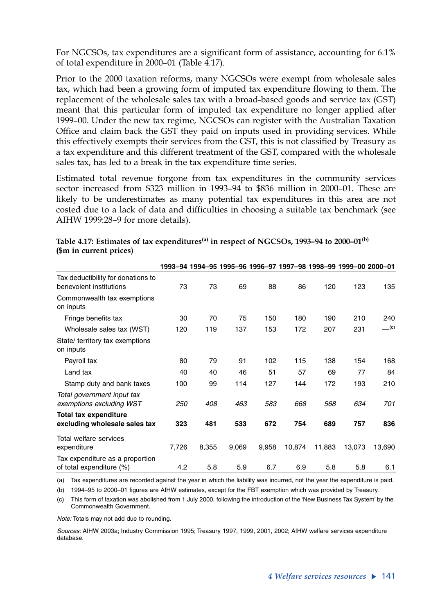For NGCSOs, tax expenditures are a significant form of assistance, accounting for 6.1% of total expenditure in 2000–01 (Table 4.17).

Prior to the 2000 taxation reforms, many NGCSOs were exempt from wholesale sales tax, which had been a growing form of imputed tax expenditure flowing to them. The replacement of the wholesale sales tax with a broad-based goods and service tax (GST) meant that this particular form of imputed tax expenditure no longer applied after 1999–00. Under the new tax regime, NGCSOs can register with the Australian Taxation Office and claim back the GST they paid on inputs used in providing services. While this effectively exempts their services from the GST, this is not classified by Treasury as a tax expenditure and this different treatment of the GST, compared with the wholesale sales tax, has led to a break in the tax expenditure time series.

Estimated total revenue forgone from tax expenditures in the community services sector increased from \$323 million in 1993–94 to \$836 million in 2000–01. These are likely to be underestimates as many potential tax expenditures in this area are not costed due to a lack of data and difficulties in choosing a suitable tax benchmark (see AIHW 1999:28–9 for more details).

|                                                               |            |       |       |       |        | 1993-94 1994-95 1995-96 1996-97 1997-98 1998-99 1999-00 2000-01 |        |                                |
|---------------------------------------------------------------|------------|-------|-------|-------|--------|-----------------------------------------------------------------|--------|--------------------------------|
| Tax deductibility for donations to<br>benevolent institutions | 73         | 73    | 69    | 88    | 86     | 120                                                             | 123    | 135                            |
| Commonwealth tax exemptions<br>on inputs                      |            |       |       |       |        |                                                                 |        |                                |
| Fringe benefits tax                                           | 30         | 70    | 75    | 150   | 180    | 190                                                             | 210    | 240                            |
| Wholesale sales tax (WST)                                     | 120        | 119   | 137   | 153   | 172    | 207                                                             | 231    | $\underline{\hspace{1cm}}$ (c) |
| State/ territory tax exemptions<br>on inputs                  |            |       |       |       |        |                                                                 |        |                                |
| Payroll tax                                                   | 80         | 79    | 91    | 102   | 115    | 138                                                             | 154    | 168                            |
| Land tax                                                      | 40         | 40    | 46    | 51    | 57     | 69                                                              | 77     | 84                             |
| Stamp duty and bank taxes                                     | 100        | 99    | 114   | 127   | 144    | 172                                                             | 193    | 210                            |
| Total government input tax<br>exemptions excluding WST        | <i>250</i> | 408   | 463   | 583   | 668    | 568                                                             | 634    | 701                            |
| <b>Total tax expenditure</b>                                  |            |       |       |       |        |                                                                 |        |                                |
| excluding wholesale sales tax                                 | 323        | 481   | 533   | 672   | 754    | 689                                                             | 757    | 836                            |
| Total welfare services<br>expenditure                         | 7,726      | 8,355 | 9,069 | 9,958 | 10,874 | 11,883                                                          | 13,073 | 13,690                         |
| Tax expenditure as a proportion<br>of total expenditure (%)   | 4.2        | 5.8   | 5.9   | 6.7   | 6.9    | 5.8                                                             | 5.8    | 6.1                            |

Table 4.17: Estimates of tax expenditures<sup>(a)</sup> in respect of NGCSOs, 1993-94 to 2000-01<sup>(b)</sup> **(\$m in current prices)**

(a) Tax expenditures are recorded against the year in which the liability was incurred, not the year the expenditure is paid.

(b) 1994–95 to 2000–01 figures are AIHW estimates, except for the FBT exemption which was provided by Treasury.

(c) This form of taxation was abolished from 1 July 2000, following the introduction of the 'New Business Tax System' by the Commonwealth Government.

*Note:* Totals may not add due to rounding.

*Sources:* AIHW 2003a; Industry Commission 1995; Treasury 1997, 1999, 2001, 2002; AIHW welfare services expenditure database.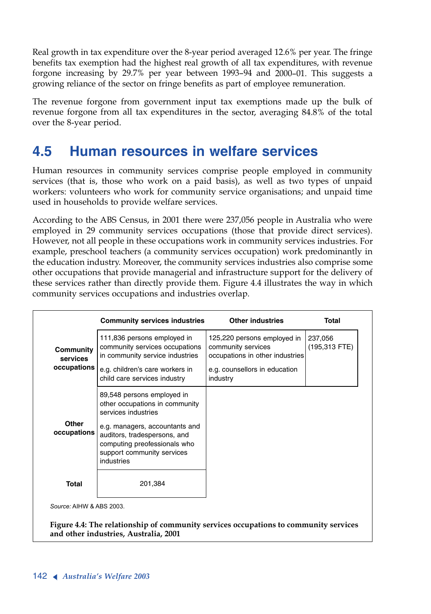Real growth in tax expenditure over the 8-year period averaged 12.6% per year. The fringe benefits tax exemption had the highest real growth of all tax expenditures, with revenue forgone increasing by 29.7% per year between 1993–94 and 2000–01. This suggests a growing reliance of the sector on fringe benefits as part of employee remuneration.

The revenue forgone from government input tax exemptions made up the bulk of revenue forgone from all tax expenditures in the sector, averaging 84.8% of the total over the 8-year period.

# **4.5 Human resources in welfare services**

Human resources in community services comprise people employed in community services (that is, those who work on a paid basis), as well as two types of unpaid workers: volunteers who work for community service organisations; and unpaid time used in households to provide welfare services.

According to the ABS Census, in 2001 there were 237,056 people in Australia who were employed in 29 community services occupations (those that provide direct services). However, not all people in these occupations work in community services industries. For example, preschool teachers (a community services occupation) work predominantly in the education industry. Moreover, the community services industries also comprise some other occupations that provide managerial and infrastructure support for the delivery of these services rather than directly provide them. Figure 4.4 illustrates the way in which community services occupations and industries overlap.

|                              | <b>Community services industries</b>                                                                                                       | <b>Other industries</b>                                                              | Total                      |
|------------------------------|--------------------------------------------------------------------------------------------------------------------------------------------|--------------------------------------------------------------------------------------|----------------------------|
| Community<br><b>services</b> | 111,836 persons employed in<br>community services occupations<br>in community service industries                                           | 125,220 persons employed in<br>community services<br>occupations in other industries | 237,056<br>$(195,313$ FTE) |
| occupations                  | e.g. children's care workers in<br>child care services industry                                                                            | e.g. counsellors in education<br>industry                                            |                            |
|                              | 89,548 persons employed in<br>other occupations in community<br>services industries                                                        |                                                                                      |                            |
| Other<br>occupations         | e.g. managers, accountants and<br>auditors, tradespersons, and<br>computing preofessionals who<br>support community services<br>industries |                                                                                      |                            |
| <b>Total</b>                 | 201,384                                                                                                                                    |                                                                                      |                            |

**Figure 4.4: The relationship of community services occupations to community services and other industries, Australia, 2001**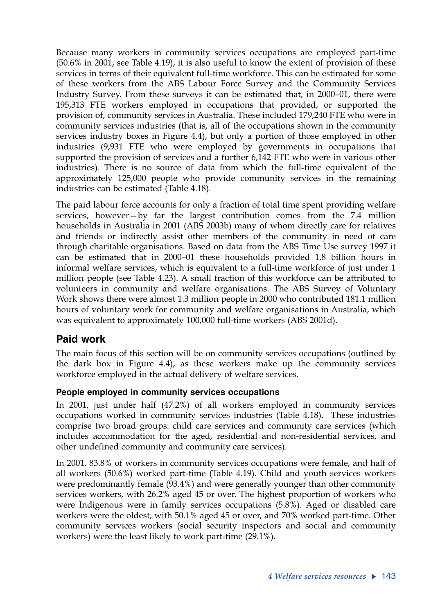Because many workers in community services occupations are employed part-time (50.6% in 2001, see Table 4.19), it is also useful to know the extent of provision of these services in terms of their equivalent full-time workforce. This can be estimated for some of these workers from the ABS Labour Force Survey and the Community Services Industry Survey. From these surveys it can be estimated that, in 2000–01, there were 195,313 FTE workers employed in occupations that provided, or supported the provision of, community services in Australia. These included 179,240 FTE who were in community services industries (that is, all of the occupations shown in the community services industry boxes in Figure 4.4), but only a portion of those employed in other industries (9,931 FTE who were employed by governments in occupations that supported the provision of services and a further 6,142 FTE who were in various other industries). There is no source of data from which the full-time equivalent of the approximately 125,000 people who provide community services in the remaining industries can be estimated (Table 4.18).

The paid labour force accounts for only a fraction of total time spent providing welfare services, however—by far the largest contribution comes from the 7.4 million households in Australia in 2001 (ABS 2003b) many of whom directly care for relatives and friends or indirectly assist other members of the community in need of care through charitable organisations. Based on data from the ABS Time Use survey 1997 it can be estimated that in 2000–01 these households provided 1.8 billion hours in informal welfare services, which is equivalent to a full-time workforce of just under 1 million people (see Table 4.23). A small fraction of this workforce can be attributed to volunteers in community and welfare organisations. The ABS Survey of Voluntary Work shows there were almost 1.3 million people in 2000 who contributed 181.1 million hours of voluntary work for community and welfare organisations in Australia, which was equivalent to approximately 100,000 full-time workers (ABS 2001d).

## **Paid work**

The main focus of this section will be on community services occupations (outlined by the dark box in Figure 4.4), as these workers make up the community services workforce employed in the actual delivery of welfare services.

## **People employed in community services occupations**

In 2001, just under half (47.2%) of all workers employed in community services occupations worked in community services industries (Table 4.18). These industries comprise two broad groups: child care services and community care services (which includes accommodation for the aged, residential and non-residential services, and other undefined community and community care services).

In 2001, 83.8% of workers in community services occupations were female, and half of all workers (50.6%) worked part-time (Table 4.19). Child and youth services workers were predominantly female (93.4%) and were generally younger than other community services workers, with 26.2% aged 45 or over. The highest proportion of workers who were Indigenous were in family services occupations (5.8%). Aged or disabled care workers were the oldest, with 50.1% aged 45 or over, and 70% worked part-time. Other community services workers (social security inspectors and social and community workers) were the least likely to work part-time (29.1%).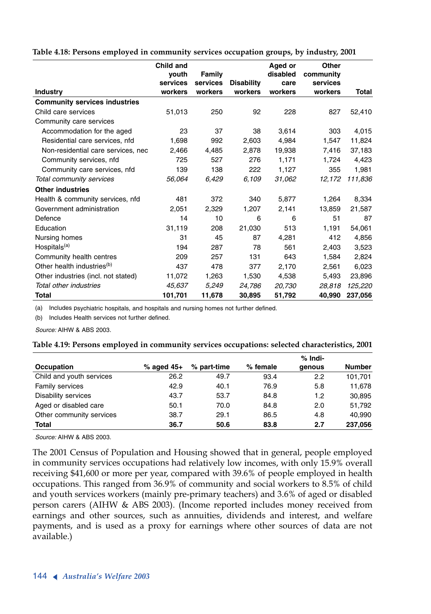**Table 4.18: Persons employed in community services occupation groups, by industry, 2001**

|                                        | Child and           |                    |                              | Aged or         | Other               |         |
|----------------------------------------|---------------------|--------------------|------------------------------|-----------------|---------------------|---------|
|                                        | vouth               | Family<br>services |                              | disabled        | community           |         |
| <b>Industry</b>                        | services<br>workers | workers            | <b>Disability</b><br>workers | care<br>workers | services<br>workers | Total   |
|                                        |                     |                    |                              |                 |                     |         |
| <b>Community services industries</b>   |                     |                    |                              |                 |                     |         |
| Child care services                    | 51,013              | 250                | 92                           | 228             | 827                 | 52,410  |
| Community care services                |                     |                    |                              |                 |                     |         |
| Accommodation for the aged             | 23                  | 37                 | 38                           | 3,614           | 303                 | 4,015   |
| Residential care services, nfd         | 1,698               | 992                | 2,603                        | 4,984           | 1,547               | 11,824  |
| Non-residential care services, nec     | 2,466               | 4,485              | 2,878                        | 19,938          | 7,416               | 37,183  |
| Community services, nfd                | 725                 | 527                | 276                          | 1,171           | 1,724               | 4,423   |
| Community care services, nfd           | 139                 | 138                | 222                          | 1,127           | 355                 | 1,981   |
| Total community services               | 56,064              | 6,429              | 6,109                        | 31,062          | 12,172              | 111,836 |
| <b>Other industries</b>                |                     |                    |                              |                 |                     |         |
| Health & community services, nfd       | 481                 | 372                | 340                          | 5,877           | 1,264               | 8,334   |
| Government administration              | 2,051               | 2,329              | 1,207                        | 2,141           | 13,859              | 21,587  |
| Defence                                | 14                  | 10                 | 6                            | 6               | 51                  | 87      |
| Education                              | 31,119              | 208                | 21,030                       | 513             | 1,191               | 54,061  |
| Nursing homes                          | 31                  | 45                 | 87                           | 4,281           | 412                 | 4,856   |
| Hospitals <sup>(a)</sup>               | 194                 | 287                | 78                           | 561             | 2,403               | 3,523   |
| Community health centres               | 209                 | 257                | 131                          | 643             | 1,584               | 2,824   |
| Other health industries <sup>(b)</sup> | 437                 | 478                | 377                          | 2,170           | 2,561               | 6,023   |
| Other industries (incl. not stated)    | 11,072              | 1,263              | 1,530                        | 4,538           | 5,493               | 23,896  |
| Total other industries                 | 45,637              | 5,249              | 24,786                       | 20,730          | 28.818              | 125,220 |
| Total                                  | 101,701             | 11,678             | 30,895                       | 51,792          | 40,990              | 237,056 |

(a) Includes psychiatric hospitals, and hospitals and nursing homes not further defined.

(b) Includes Health services not further defined.

*Source:* AIHW & ABS 2003.

|  | Table 4.19: Persons employed in community services occupations: selected characteristics, 2001 |  |  |  |  |
|--|------------------------------------------------------------------------------------------------|--|--|--|--|
|--|------------------------------------------------------------------------------------------------|--|--|--|--|

|                            |              |             |          | % Indi- |               |
|----------------------------|--------------|-------------|----------|---------|---------------|
| Occupation                 | $%$ aged 45+ | % part-time | % female | genous  | <b>Number</b> |
| Child and youth services   | 26.2         | 49.7        | 93.4     | 2.2     | 101,701       |
| Family services            | 42.9         | 40.1        | 76.9     | 5.8     | 11.678        |
| <b>Disability services</b> | 43.7         | 53.7        | 84.8     | 1.2     | 30.895        |
| Aged or disabled care      | 50.1         | 70.0        | 84.8     | 2.0     | 51.792        |
| Other community services   | 38.7         | 29.1        | 86.5     | 4.8     | 40.990        |
| Total                      | 36.7         | 50.6        | 83.8     | 2.7     | 237.056       |

*Source:* AIHW & ABS 2003.

The 2001 Census of Population and Housing showed that in general, people employed in community services occupations had relatively low incomes, with only 15.9% overall receiving \$41,600 or more per year, compared with 39.6% of people employed in health occupations. This ranged from 36.9% of community and social workers to 8.5% of child and youth services workers (mainly pre-primary teachers) and 3.6% of aged or disabled person carers (AIHW & ABS 2003). (Income reported includes money received from earnings and other sources, such as annuities, dividends and interest, and welfare payments, and is used as a proxy for earnings where other sources of data are not available.)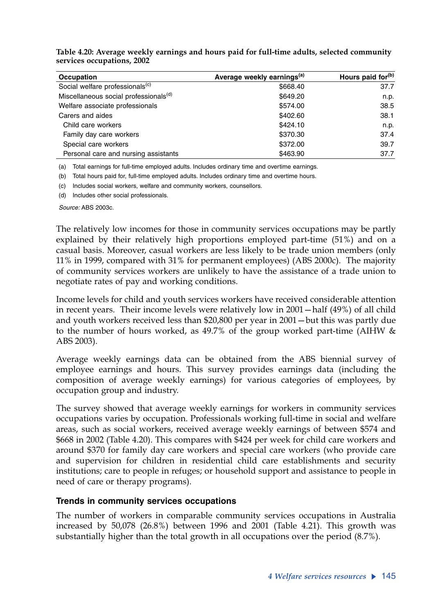| Occupation                                        | Average weekly earnings <sup>(a)</sup> | Hours paid for <sup>(b)</sup> |
|---------------------------------------------------|----------------------------------------|-------------------------------|
| Social welfare professionals <sup>(c)</sup>       | \$668.40                               | 37.7                          |
| Miscellaneous social professionals <sup>(d)</sup> | \$649.20                               | n.p.                          |
| Welfare associate professionals                   | \$574.00                               | 38.5                          |
| Carers and aides                                  | \$402.60                               | 38.1                          |
| Child care workers                                | \$424.10                               | n.p.                          |
| Family day care workers                           | \$370.30                               | 37.4                          |
| Special care workers                              | \$372.00                               | 39.7                          |
| Personal care and nursing assistants              | \$463.90                               | 37.7                          |

**Table 4.20: Average weekly earnings and hours paid for full-time adults, selected community services occupations, 2002**

(a) Total earnings for full-time employed adults. Includes ordinary time and overtime earnings.

(b) Total hours paid for, full-time employed adults. Includes ordinary time and overtime hours.

(c) Includes social workers, welfare and community workers, counsellors.

(d) Includes other social professionals.

*Source:* ABS 2003c.

The relatively low incomes for those in community services occupations may be partly explained by their relatively high proportions employed part-time (51%) and on a casual basis. Moreover, casual workers are less likely to be trade union members (only 11% in 1999, compared with 31% for permanent employees) (ABS 2000c). The majority of community services workers are unlikely to have the assistance of a trade union to negotiate rates of pay and working conditions.

Income levels for child and youth services workers have received considerable attention in recent years. Their income levels were relatively low in 2001—half (49%) of all child and youth workers received less than \$20,800 per year in 2001—but this was partly due to the number of hours worked, as 49.7% of the group worked part-time (AIHW & ABS 2003).

Average weekly earnings data can be obtained from the ABS biennial survey of employee earnings and hours. This survey provides earnings data (including the composition of average weekly earnings) for various categories of employees, by occupation group and industry.

The survey showed that average weekly earnings for workers in community services occupations varies by occupation. Professionals working full-time in social and welfare areas, such as social workers, received average weekly earnings of between \$574 and \$668 in 2002 (Table 4.20). This compares with \$424 per week for child care workers and around \$370 for family day care workers and special care workers (who provide care and supervision for children in residential child care establishments and security institutions; care to people in refuges; or household support and assistance to people in need of care or therapy programs).

### **Trends in community services occupations**

The number of workers in comparable community services occupations in Australia increased by 50,078 (26.8%) between 1996 and 2001 (Table 4.21). This growth was substantially higher than the total growth in all occupations over the period (8.7%).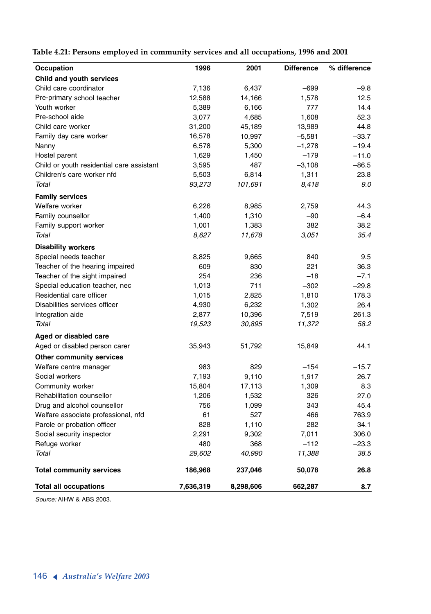**Table 4.21: Persons employed in community services and all occupations, 1996 and 2001**

| Occupation                                | 1996      | 2001      | <b>Difference</b> | % difference |
|-------------------------------------------|-----------|-----------|-------------------|--------------|
| Child and youth services                  |           |           |                   |              |
| Child care coordinator                    | 7,136     | 6,437     | $-699$            | $-9.8$       |
| Pre-primary school teacher                | 12,588    | 14,166    | 1,578             | 12.5         |
| Youth worker                              | 5,389     | 6,166     | 777               | 14.4         |
| Pre-school aide                           | 3,077     | 4,685     | 1,608             | 52.3         |
| Child care worker                         | 31,200    | 45,189    | 13,989            | 44.8         |
| Family day care worker                    | 16,578    | 10,997    | $-5,581$          | $-33.7$      |
| Nanny                                     | 6,578     | 5,300     | $-1,278$          | $-19.4$      |
| Hostel parent                             | 1,629     | 1,450     | $-179$            | $-11.0$      |
| Child or youth residential care assistant | 3,595     | 487       | $-3,108$          | $-86.5$      |
| Children's care worker nfd                | 5,503     | 6,814     | 1,311             | 23.8         |
| Total                                     | 93,273    | 101.691   | 8,418             | 9.0          |
| <b>Family services</b>                    |           |           |                   |              |
| Welfare worker                            | 6,226     | 8,985     | 2,759             | 44.3         |
| Family counsellor                         | 1,400     | 1,310     | $-90$             | $-6.4$       |
| Family support worker                     | 1,001     | 1,383     | 382               | 38.2         |
| Total                                     | 8,627     | 11,678    | 3,051             | 35.4         |
| <b>Disability workers</b>                 |           |           |                   |              |
| Special needs teacher                     | 8,825     | 9,665     | 840               | 9.5          |
| Teacher of the hearing impaired           | 609       | 830       | 221               | 36.3         |
| Teacher of the sight impaired             | 254       | 236       | $-18$             | $-7.1$       |
| Special education teacher, nec            | 1,013     | 711       | $-302$            | $-29.8$      |
| Residential care officer                  | 1,015     | 2,825     | 1,810             | 178.3        |
| Disabilities services officer             | 4,930     | 6,232     | 1,302             | 26.4         |
| Integration aide                          | 2,877     | 10,396    | 7,519             | 261.3        |
| Total                                     | 19,523    | 30,895    | 11,372            | 58.2         |
| Aged or disabled care                     |           |           |                   |              |
| Aged or disabled person carer             | 35,943    | 51,792    | 15,849            | 44.1         |
| <b>Other community services</b>           |           |           |                   |              |
| Welfare centre manager                    | 983       | 829       | $-154$            | $-15.7$      |
| Social workers                            | 7,193     | 9,110     | 1,917             | 26.7         |
| Community worker                          | 15,804    | 17,113    | 1,309             | 8.3          |
| Rehabilitation counsellor                 | 1,206     | 1,532     | 326               | 27.0         |
| Drug and alcohol counsellor               | 756       | 1,099     | 343               | 45.4         |
| Welfare associate professional, nfd       | 61        | 527       | 466               | 763.9        |
| Parole or probation officer               | 828       | 1,110     | 282               | 34.1         |
| Social security inspector                 | 2,291     | 9,302     | 7,011             | 306.0        |
| Refuge worker                             | 480       | 368       | $-112$            | $-23.3$      |
| Total                                     | 29,602    | 40,990    | 11,388            | 38.5         |
| <b>Total community services</b>           | 186,968   | 237,046   | 50,078            | 26.8         |
| <b>Total all occupations</b>              | 7,636,319 | 8,298,606 | 662,287           | 8.7          |

*Source:* AIHW & ABS 2003.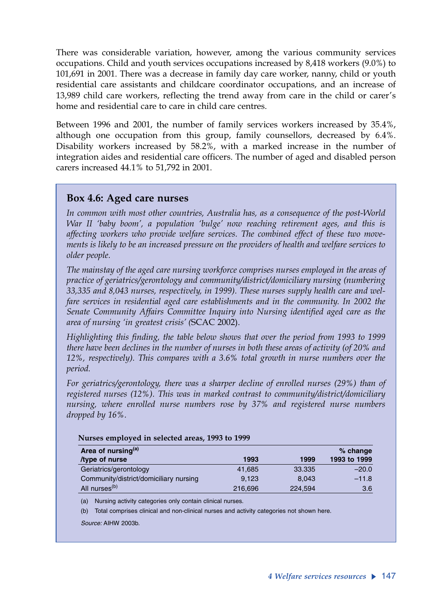There was considerable variation, however, among the various community services occupations. Child and youth services occupations increased by 8,418 workers (9.0%) to 101,691 in 2001. There was a decrease in family day care worker, nanny, child or youth residential care assistants and childcare coordinator occupations, and an increase of 13,989 child care workers, reflecting the trend away from care in the child or carer's home and residential care to care in child care centres.

Between 1996 and 2001, the number of family services workers increased by 35.4%, although one occupation from this group, family counsellors, decreased by 6.4%. Disability workers increased by 58.2%, with a marked increase in the number of integration aides and residential care officers. The number of aged and disabled person carers increased 44.1% to 51,792 in 2001.

## **Box 4.6: Aged care nurses**

*In common with most other countries, Australia has, as a consequence of the post-World War II 'baby boom', a population 'bulge' now reaching retirement ages, and this is affecting workers who provide welfare services. The combined effect of these two movements is likely to be an increased pressure on the providers of health and welfare services to older people.* 

*The mainstay of the aged care nursing workforce comprises nurses employed in the areas of practice of geriatrics/gerontology and community/district/domiciliary nursing (numbering 33,335 and 8,043 nurses, respectively, in 1999). These nurses supply health care and welfare services in residential aged care establishments and in the community. In 2002 the Senate Community Affairs Committee Inquiry into Nursing identified aged care as the area of nursing 'in greatest crisis' (*SCAC 2002).

*Highlighting this finding, the table below shows that over the period from 1993 to 1999 there have been declines in the number of nurses in both these areas of activity (of 20% and 12%, respectively). This compares with a 3.6% total growth in nurse numbers over the period.*

*For geriatrics/gerontology, there was a sharper decline of enrolled nurses (29%) than of registered nurses (12%). This was in marked contrast to community/district/domiciliary nursing, where enrolled nurse numbers rose by 37% and registered nurse numbers dropped by 16%.* 

| Area of nursing <sup>(a)</sup>         |         |         | $%$ change   |
|----------------------------------------|---------|---------|--------------|
| type of nurse                          | 1993    | 1999    | 1993 to 1999 |
| Geriatrics/gerontology                 | 41.685  | 33.335  | $-20.0$      |
| Community/district/domiciliary nursing | 9.123   | 8.043   | $-11.8$      |
| All nurses <sup>(b)</sup>              | 216,696 | 224,594 | 3.6          |

#### **Nurses employed in selected areas, 1993 to 1999**

(a) Nursing activity categories only contain clinical nurses.

(b) Total comprises clinical and non-clinical nurses and activity categories not shown here.

*Source:* AIHW 2003b.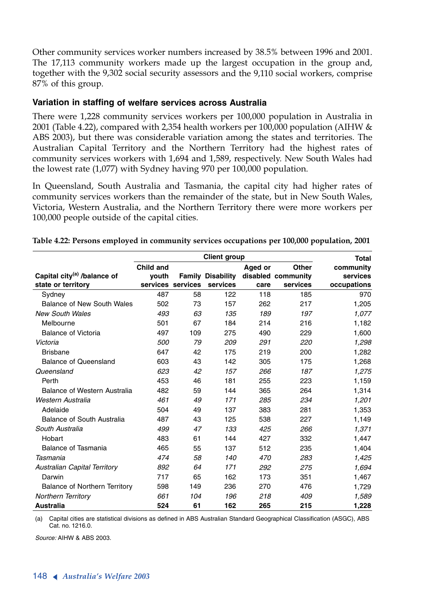Other community services worker numbers increased by 38.5% between 1996 and 2001. The 17,113 community workers made up the largest occupation in the group and, together with the 9,302 social security assessors and the 9,110 social workers, comprise 87% of this group.

### **Variation in staffing of welfare services across Australia**

There were 1,228 community services workers per 100,000 population in Australia in 2001 (Table 4.22), compared with 2,354 health workers per 100,000 population (AIHW & ABS 2003), but there was considerable variation among the states and territories. The Australian Capital Territory and the Northern Territory had the highest rates of community services workers with 1,694 and 1,589, respectively. New South Wales had the lowest rate (1,077) with Sydney having 970 per 100,000 population.

In Queensland, South Australia and Tasmania, the capital city had higher rates of community services workers than the remainder of the state, but in New South Wales, Victoria, Western Australia, and the Northern Territory there were more workers per 100,000 people outside of the capital cities.

|                                         | <b>Client group</b> |                   |                          |         |                    | Total       |
|-----------------------------------------|---------------------|-------------------|--------------------------|---------|--------------------|-------------|
|                                         | Child and           |                   |                          | Aged or | Other              | community   |
| Capital city <sup>(a)</sup> /balance of | vouth               |                   | <b>Family Disability</b> |         | disabled community | services    |
| state or territory                      |                     | services services | services                 | care    | services           | occupations |
| Sydney                                  | 487                 | 58                | 122                      | 118     | 185                | 970         |
| Balance of New South Wales              | 502                 | 73                | 157                      | 262     | 217                | 1,205       |
| <b>New South Wales</b>                  | 493                 | 63                | 135                      | 189     | 197                | 1,077       |
| Melbourne                               | 501                 | 67                | 184                      | 214     | 216                | 1,182       |
| <b>Balance of Victoria</b>              | 497                 | 109               | 275                      | 490     | 229                | 1,600       |
| Victoria                                | 500                 | 79                | 209                      | 291     | 220                | 1,298       |
| <b>Brisbane</b>                         | 647                 | 42                | 175                      | 219     | 200                | 1,282       |
| <b>Balance of Queensland</b>            | 603                 | 43                | 142                      | 305     | 175                | 1,268       |
| Queensland                              | 623                 | 42                | 157                      | 266     | 187                | 1,275       |
| Perth                                   | 453                 | 46                | 181                      | 255     | 223                | 1,159       |
| Balance of Western Australia            | 482                 | 59                | 144                      | 365     | 264                | 1,314       |
| Western Australia                       | 461                 | 49                | 171                      | 285     | 234                | 1,201       |
| Adelaide                                | 504                 | 49                | 137                      | 383     | 281                | 1,353       |
| Balance of South Australia              | 487                 | 43                | 125                      | 538     | 227                | 1,149       |
| South Australia                         | 499                 | 47                | 133                      | 425     | 266                | 1,371       |
| Hobart                                  | 483                 | 61                | 144                      | 427     | 332                | 1,447       |
| Balance of Tasmania                     | 465                 | 55                | 137                      | 512     | 235                | 1,404       |
| Tasmania                                | 474                 | 58                | 140                      | 470     | 283                | 1,425       |
| <b>Australian Capital Territory</b>     | 892                 | 64                | 171                      | 292     | 275                | 1,694       |
| Darwin                                  | 717                 | 65                | 162                      | 173     | 351                | 1,467       |
| Balance of Northern Territory           | 598                 | 149               | 236                      | 270     | 476                | 1,729       |
| <b>Northern Territory</b>               | 661                 | 104               | 196                      | 218     | 409                | 1,589       |
| <b>Australia</b>                        | 524                 | 61                | 162                      | 265     | 215                | 1,228       |

**Table 4.22: Persons employed in community services occupations per 100,000 population, 2001** 

(a) Capital cities are statistical divisions as defined in ABS Australian Standard Geographical Classification (ASGC), ABS Cat. no. 1216.0.

*Source:* AIHW & ABS 2003.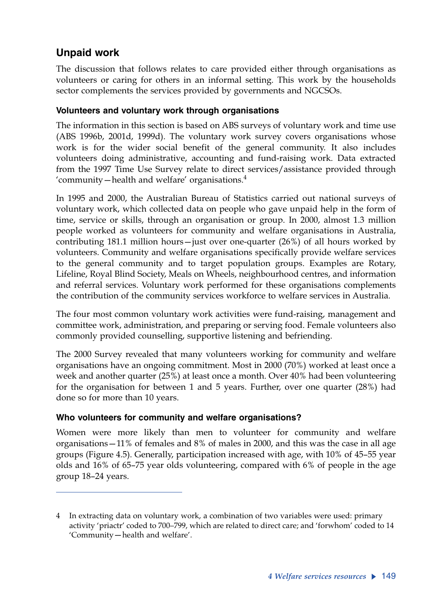## **Unpaid work**

The discussion that follows relates to care provided either through organisations as volunteers or caring for others in an informal setting. This work by the households sector complements the services provided by governments and NGCSOs.

## **Volunteers and voluntary work through organisations**

The information in this section is based on ABS surveys of voluntary work and time use (ABS 1996b, 2001d, 1999d). The voluntary work survey covers organisations whose work is for the wider social benefit of the general community. It also includes volunteers doing administrative, accounting and fund-raising work. Data extracted from the 1997 Time Use Survey relate to direct services/assistance provided through 'community—health and welfare' organisations. $4$ 

In 1995 and 2000, the Australian Bureau of Statistics carried out national surveys of voluntary work, which collected data on people who gave unpaid help in the form of time, service or skills, through an organisation or group. In 2000, almost 1.3 million people worked as volunteers for community and welfare organisations in Australia, contributing 181.1 million hours—just over one-quarter (26%) of all hours worked by volunteers. Community and welfare organisations specifically provide welfare services to the general community and to target population groups. Examples are Rotary, Lifeline, Royal Blind Society, Meals on Wheels, neighbourhood centres, and information and referral services. Voluntary work performed for these organisations complements the contribution of the community services workforce to welfare services in Australia.

The four most common voluntary work activities were fund-raising, management and committee work, administration, and preparing or serving food. Female volunteers also commonly provided counselling, supportive listening and befriending.

The 2000 Survey revealed that many volunteers working for community and welfare organisations have an ongoing commitment. Most in 2000 (70%) worked at least once a week and another quarter (25%) at least once a month. Over 40% had been volunteering for the organisation for between 1 and 5 years. Further, over one quarter (28%) had done so for more than 10 years.

## **Who volunteers for community and welfare organisations?**

Women were more likely than men to volunteer for community and welfare organisations—11% of females and 8% of males in 2000, and this was the case in all age groups (Figure 4.5). Generally, participation increased with age, with 10% of 45–55 year olds and 16% of 65–75 year olds volunteering, compared with 6% of people in the age group 18–24 years.

<sup>4</sup> In extracting data on voluntary work, a combination of two variables were used: primary activity 'priactr' coded to 700–799, which are related to direct care; and 'forwhom' coded to 14 'Community—health and welfare'.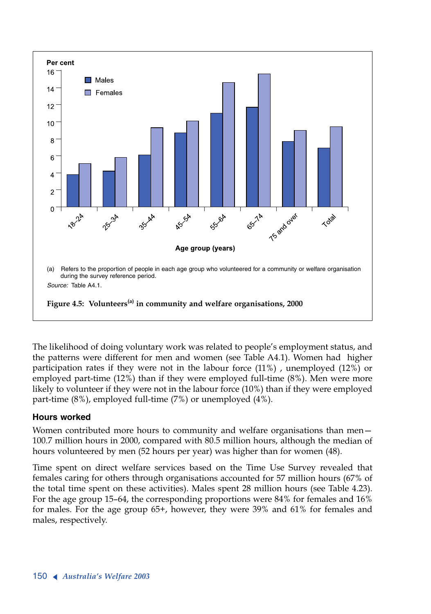

The likelihood of doing voluntary work was related to people's employment status, and the patterns were different for men and women (see Table A4.1). Women had higher participation rates if they were not in the labour force (11%) , unemployed (12%) or employed part-time (12%) than if they were employed full-time (8%). Men were more likely to volunteer if they were not in the labour force (10%) than if they were employed part-time (8%), employed full-time (7%) or unemployed (4%).

## **Hours worked**

Women contributed more hours to community and welfare organisations than men— 100.7 million hours in 2000, compared with 80.5 million hours, although the median of hours volunteered by men (52 hours per year) was higher than for women (48).

Time spent on direct welfare services based on the Time Use Survey revealed that females caring for others through organisations accounted for 57 million hours (67% of the total time spent on these activities). Males spent 28 million hours (see Table 4.23). For the age group 15–64, the corresponding proportions were 84% for females and 16% for males. For the age group 65+, however, they were 39% and 61% for females and males, respectively.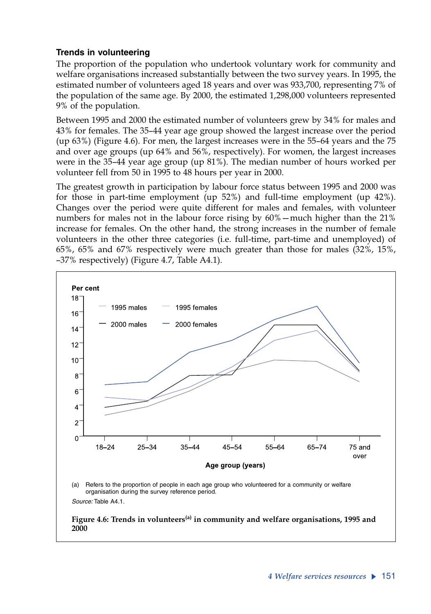## **Trends in volunteering**

The proportion of the population who undertook voluntary work for community and welfare organisations increased substantially between the two survey years. In 1995, the estimated number of volunteers aged 18 years and over was 933,700, representing 7% of the population of the same age. By 2000, the estimated 1,298,000 volunteers represented 9% of the population.

Between 1995 and 2000 the estimated number of volunteers grew by 34% for males and 43% for females. The 35–44 year age group showed the largest increase over the period (up 63%) (Figure 4.6). For men, the largest increases were in the 55–64 years and the 75 and over age groups (up 64% and 56%, respectively). For women, the largest increases were in the 35–44 year age group (up 81%). The median number of hours worked per volunteer fell from 50 in 1995 to 48 hours per year in 2000.

The greatest growth in participation by labour force status between 1995 and 2000 was for those in part-time employment (up 52%) and full-time employment (up 42%). Changes over the period were quite different for males and females, with volunteer numbers for males not in the labour force rising by 60%—much higher than the 21% increase for females. On the other hand, the strong increases in the number of female volunteers in the other three categories (i.e. full-time, part-time and unemployed) of 65%, 65% and 67% respectively were much greater than those for males (32%, 15%, –37% respectively) (Figure 4.7, Table A4.1).



*Source:* Table A4.1.

Figure 4.6: Trends in volunteers<sup>(a)</sup> in community and welfare organisations, 1995 and **2000**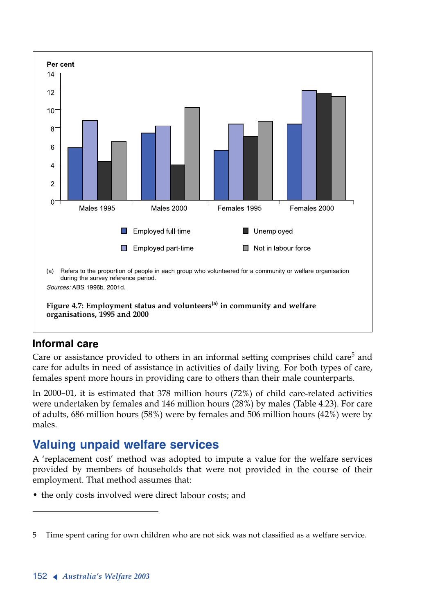

## **Informal care**

Care or assistance provided to others in an informal setting comprises child care<sup>5</sup> and care for adults in need of assistance in activities of daily living. For both types of care, females spent more hours in providing care to others than their male counterparts.

In 2000–01, it is estimated that 378 million hours (72%) of child care-related activities were undertaken by females and 146 million hours (28%) by males (Table 4.23). For care of adults, 686 million hours (58%) were by females and 506 million hours (42%) were by males.

# **Valuing unpaid welfare services**

<sup>A</sup> 'replacement cost' method was adopted to impute a value for the welfare services provided by members of households that were not provided in the course of their employment. That method assumes that:

• the only costs involved were direct labour costs; and

<sup>5</sup> Time spent caring for own children who are not sick was not classified as a welfare service.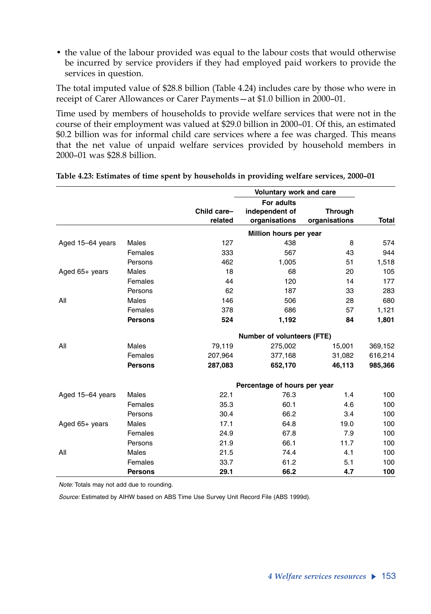• the value of the labour provided was equal to the labour costs that would otherwise be incurred by service providers if they had employed paid workers to provide the services in question.

The total imputed value of \$28.8 billion (Table 4.24) includes care by those who were in receipt of Carer Allowances or Carer Payments—at \$1.0 billion in 2000–01.

Time used by members of households to provide welfare services that were not in the course of their employment was valued at \$29.0 billion in 2000–01. Of this, an estimated \$0.2 billion was for informal child care services where a fee was charged. This means that the net value of unpaid welfare services provided by household members in 2000–01 was \$28.8 billion.

|                  |                |                        | Voluntary work and care           |                |              |
|------------------|----------------|------------------------|-----------------------------------|----------------|--------------|
|                  |                |                        | For adults                        |                |              |
|                  |                | Child care-<br>related | independent of                    | <b>Through</b> | <b>Total</b> |
|                  |                |                        | organisations                     | organisations  |              |
|                  |                |                        | Million hours per year            |                |              |
| Aged 15-64 years | <b>Males</b>   | 127                    | 438                               | 8              | 574          |
|                  | Females        | 333                    | 567                               | 43             | 944          |
|                  | Persons        | 462                    | 1,005                             | 51             | 1,518        |
| Aged 65+ years   | Males          | 18                     | 68                                | 20             | 105          |
|                  | Females        | 44                     | 120                               | 14             | 177          |
|                  | Persons        | 62                     | 187                               | 33             | 283          |
| All              | Males          | 146                    | 506                               | 28             | 680          |
|                  | Females        | 378                    | 686                               | 57             | 1,121        |
|                  | <b>Persons</b> | 524                    | 1,192                             | 84             | 1,801        |
|                  |                |                        | <b>Number of volunteers (FTE)</b> |                |              |
| All              | Males          | 79,119                 | 275,002                           | 15,001         | 369,152      |
|                  | Females        | 207,964                | 377,168                           | 31,082         | 616,214      |
|                  | <b>Persons</b> | 287,083                | 652,170                           | 46,113         | 985,366      |
|                  |                |                        | Percentage of hours per year      |                |              |
| Aged 15-64 years | Males          | 22.1                   | 76.3                              | 1.4            | 100          |
|                  | Females        | 35.3                   | 60.1                              | 4.6            | 100          |
|                  | Persons        | 30.4                   | 66.2                              | 3.4            | 100          |
| Aged 65+ years   | Males          | 17.1                   | 64.8                              | 19.0           | 100          |
|                  | Females        | 24.9                   | 67.8                              | 7.9            | 100          |
|                  | Persons        | 21.9                   | 66.1                              | 11.7           | 100          |
| All              | Males          | 21.5                   | 74.4                              | 4.1            | 100          |
|                  | Females        | 33.7                   | 61.2                              | 5.1            | 100          |
|                  | <b>Persons</b> | 29.1                   | 66.2                              | 4.7            | 100          |

|  |  | Table 4.23: Estimates of time spent by households in providing welfare services, 2000-01 |  |  |
|--|--|------------------------------------------------------------------------------------------|--|--|
|  |  |                                                                                          |  |  |

*Note:* Totals may not add due to rounding.

*Source:* Estimated by AIHW based on ABS Time Use Survey Unit Record File (ABS 1999d).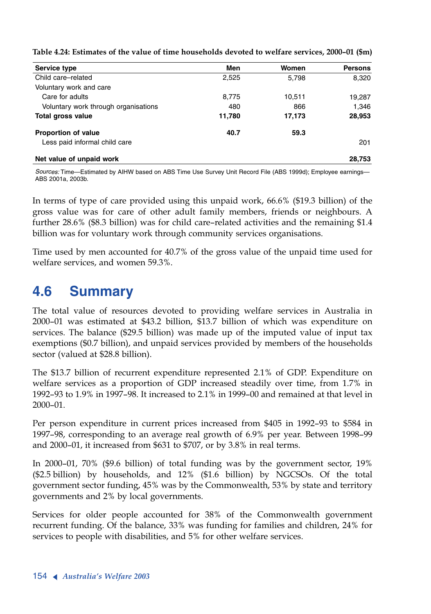| Service type                         | Men    | Women  | <b>Persons</b> |
|--------------------------------------|--------|--------|----------------|
| Child care-related                   | 2,525  | 5,798  | 8,320          |
| Voluntary work and care              |        |        |                |
| Care for adults                      | 8,775  | 10,511 | 19,287         |
| Voluntary work through organisations | 480    | 866    | 1,346          |
| <b>Total gross value</b>             | 11,780 | 17,173 | 28,953         |
| <b>Proportion of value</b>           | 40.7   | 59.3   |                |
| Less paid informal child care        |        |        | 201            |
| Net value of unpaid work             |        |        | 28.753         |

**Table 4.24: Estimates of the value of time households devoted to welfare services, 2000–01 (\$m)**

*Sources:* Time—Estimated by AIHW based on ABS Time Use Survey Unit Record File (ABS 1999d); Employee earnings— ABS 2001a, 2003b.

In terms of type of care provided using this unpaid work, 66.6% (\$19.3 billion) of the gross value was for care of other adult family members, friends or neighbours. A further 28.6% (\$8.3 billion) was for child care–related activities and the remaining \$1.4 billion was for voluntary work through community services organisations.

Time used by men accounted for 40.7% of the gross value of the unpaid time used for welfare services, and women 59.3%.

# **4.6 Summary**

The total value of resources devoted to providing welfare services in Australia in 2000–01 was estimated at \$43.2 billion, \$13.7 billion of which was expenditure on services. The balance (\$29.5 billion) was made up of the imputed value of input tax exemptions (\$0.7 billion), and unpaid services provided by members of the households sector (valued at \$28.8 billion).

The \$13.7 billion of recurrent expenditure represented 2.1% of GDP. Expenditure on welfare services as a proportion of GDP increased steadily over time, from 1.7% in 1992–93 to 1.9% in 1997–98. It increased to 2.1% in 1999–00 and remained at that level in 2000–01.

Per person expenditure in current prices increased from \$405 in 1992–93 to \$584 in 1997–98, corresponding to an average real growth of 6.9% per year. Between 1998–99 and 2000–01, it increased from \$631 to \$707, or by 3.8% in real terms.

In 2000–01, 70% (\$9.6 billion) of total funding was by the government sector, 19% (\$2.5 billion) by households, and 12% (\$1.6 billion) by NGCSOs. Of the total government sector funding, 45% was by the Commonwealth, 53% by state and territory governments and 2% by local governments.

Services for older people accounted for 38% of the Commonwealth government recurrent funding. Of the balance, 33% was funding for families and children, 24% for services to people with disabilities, and 5% for other welfare services.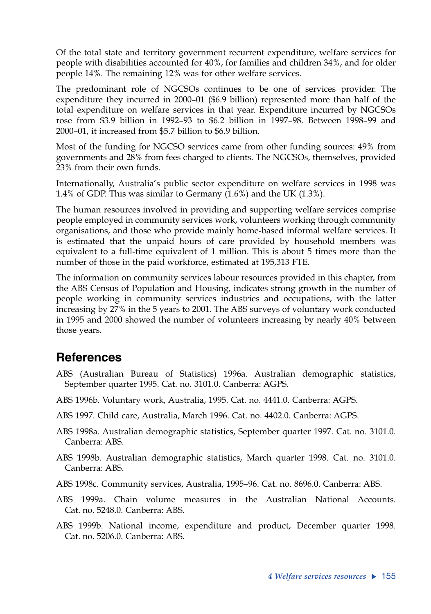Of the total state and territory government recurrent expenditure, welfare services for people with disabilities accounted for 40%, for families and children 34%, and for older people 14%. The remaining 12% was for other welfare services.

The predominant role of NGCSOs continues to be one of services provider. The expenditure they incurred in 2000–01 (\$6.9 billion) represented more than half of the total expenditure on welfare services in that year. Expenditure incurred by NGCSOs rose from \$3.9 billion in 1992–93 to \$6.2 billion in 1997–98. Between 1998–99 and 2000–01, it increased from \$5.7 billion to \$6.9 billion.

Most of the funding for NGCSO services came from other funding sources: 49% from governments and 28% from fees charged to clients. The NGCSOs, themselves, provided 23% from their own funds.

Internationally, Australia's public sector expenditure on welfare services in 1998 was 1.4% of GDP. This was similar to Germany (1.6%) and the UK (1.3%).

The human resources involved in providing and supporting welfare services comprise people employed in community services work, volunteers working through community organisations, and those who provide mainly home-based informal welfare services. It is estimated that the unpaid hours of care provided by household members was equivalent to a full-time equivalent of 1 million. This is about 5 times more than the number of those in the paid workforce, estimated at 195,313 FTE.

The information on community services labour resources provided in this chapter, from the ABS Census of Population and Housing, indicates strong growth in the number of people working in community services industries and occupations, with the latter increasing by 27% in the 5 years to 2001. The ABS surveys of voluntary work conducted in 1995 and 2000 showed the number of volunteers increasing by nearly 40% between those years.

## **References**

- ABS (Australian Bureau of Statistics) 1996a. Australian demographic statistics, September quarter 1995. Cat. no. 3101.0. Canberra: AGPS.
- ABS 1996b. Voluntary work, Australia, 1995. Cat. no. 4441.0. Canberra: AGPS.
- ABS 1997. Child care, Australia, March 1996. Cat. no. 4402.0. Canberra: AGPS.
- ABS 1998a. Australian demographic statistics, September quarter 1997. Cat. no. 3101.0. Canberra: ABS.
- ABS 1998b. Australian demographic statistics, March quarter 1998. Cat. no. 3101.0. Canberra: ABS.
- ABS 1998c. Community services, Australia, 1995–96. Cat. no. 8696.0. Canberra: ABS.
- ABS 1999a. Chain volume measures in the Australian National Accounts. Cat. no. 5248.0. Canberra: ABS.
- ABS 1999b. National income, expenditure and product, December quarter 1998. Cat. no. 5206.0. Canberra: ABS.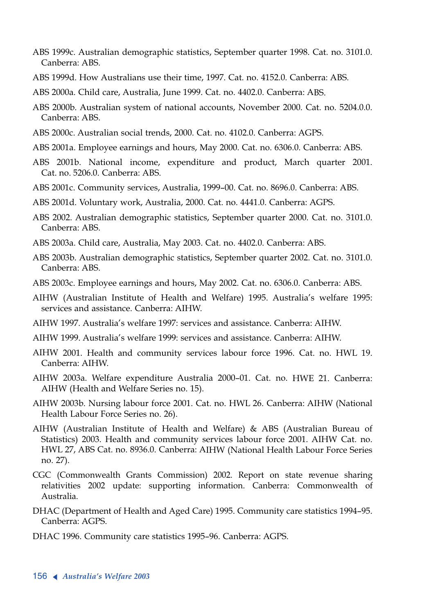- ABS 1999c. Australian demographic statistics, September quarter 1998. Cat. no. 3101.0. Canberra: ABS.
- ABS 1999d. How Australians use their time, 1997. Cat. no. 4152.0. Canberra: ABS.
- ABS 2000a. Child care, Australia, June 1999. Cat. no. 4402.0. Canberra: ABS.
- ABS 2000b. Australian system of national accounts, November 2000. Cat. no. 5204.0.0. Canberra: ABS.
- ABS 2000c. Australian social trends, 2000. Cat. no. 4102.0. Canberra: AGPS.
- ABS 2001a. Employee earnings and hours, May 2000. Cat. no. 6306.0. Canberra: ABS.
- ABS 2001b. National income, expenditure and product, March quarter 2001. Cat. no. 5206.0. Canberra: ABS.
- ABS 2001c. Community services, Australia, 1999–00. Cat. no. 8696.0. Canberra: ABS.
- ABS 2001d. Voluntary work, Australia, 2000. Cat. no. 4441.0. Canberra: AGPS.
- ABS 2002. Australian demographic statistics, September quarter 2000. Cat. no. 3101.0. Canberra: ABS.
- ABS 2003a. Child care, Australia, May 2003. Cat. no. 4402.0. Canberra: ABS.
- ABS 2003b. Australian demographic statistics, September quarter 2002. Cat. no. 3101.0. Canberra: ABS.
- ABS 2003c. Employee earnings and hours, May 2002. Cat. no. 6306.0. Canberra: ABS.
- AIHW (Australian Institute of Health and Welfare) 1995. Australia's welfare 1995: services and assistance. Canberra: AIHW.
- AIHW 1997. Australia's welfare 1997: services and assistance. Canberra: AIHW.
- AIHW 1999. Australia's welfare 1999: services and assistance. Canberra: AIHW.
- AIHW 2001. Health and community services labour force 1996. Cat. no. HWL 19. Canberra: AIHW.
- AIHW 2003a. Welfare expenditure Australia 2000–01. Cat. no. HWE 21. Canberra: AIHW (Health and Welfare Series no. 15).
- AIHW 2003b. Nursing labour force 2001. Cat. no. HWL 26. Canberra: AIHW (National Health Labour Force Series no. 26).
- AIHW (Australian Institute of Health and Welfare) & ABS (Australian Bureau of Statistics) 2003. Health and community services labour force 2001. AIHW Cat. no. HWL 27, ABS Cat. no. 8936.0. Canberra: AIHW (National Health Labour Force Series no. 27).
- CGC (Commonwealth Grants Commission) 2002. Report on state revenue sharing relativities 2002 update: supporting information. Canberra: Commonwealth of Australia.
- DHAC (Department of Health and Aged Care) 1995. Community care statistics 1994–95. Canberra: AGPS.
- DHAC 1996. Community care statistics 1995–96. Canberra: AGPS.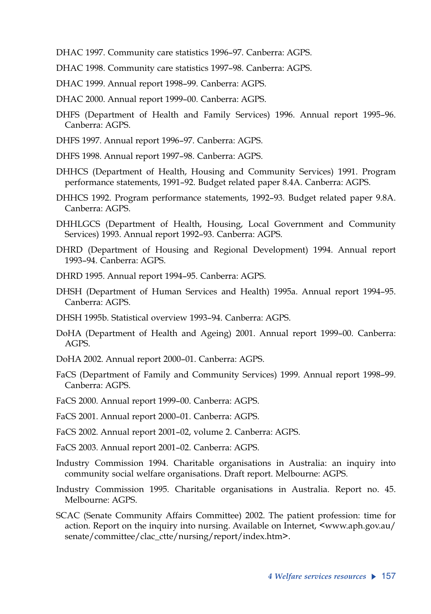- DHAC 1997. Community care statistics 1996–97. Canberra: AGPS.
- DHAC 1998. Community care statistics 1997–98. Canberra: AGPS.
- DHAC 1999. Annual report 1998–99. Canberra: AGPS.
- DHAC 2000. Annual report 1999–00. Canberra: AGPS.
- DHFS (Department of Health and Family Services) 1996. Annual report 1995–96. Canberra: AGPS.
- DHFS 1997. Annual report 1996–97. Canberra: AGPS.
- DHFS 1998. Annual report 1997–98. Canberra: AGPS.
- DHHCS (Department of Health, Housing and Community Services) 1991. Program performance statements, 1991–92. Budget related paper 8.4A. Canberra: AGPS.
- DHHCS 1992. Program performance statements, 1992–93. Budget related paper 9.8A. Canberra: AGPS.
- DHHLGCS (Department of Health, Housing, Local Government and Community Services) 1993. Annual report 1992–93. Canberra: AGPS.
- DHRD (Department of Housing and Regional Development) 1994. Annual report 1993–94. Canberra: AGPS.
- DHRD 1995. Annual report 1994–95. Canberra: AGPS.
- DHSH (Department of Human Services and Health) 1995a. Annual report 1994–95. Canberra: AGPS.
- DHSH 1995b. Statistical overview 1993–94. Canberra: AGPS.
- DoHA (Department of Health and Ageing) 2001. Annual report 1999–00. Canberra: AGPS.
- DoHA 2002. Annual report 2000–01. Canberra: AGPS.
- FaCS (Department of Family and Community Services) 1999. Annual report 1998–99. Canberra: AGPS.
- FaCS 2000. Annual report 1999–00. Canberra: AGPS.
- FaCS 2001. Annual report 2000–01. Canberra: AGPS.
- FaCS 2002. Annual report 2001–02, volume 2. Canberra: AGPS.
- FaCS 2003. Annual report 2001–02. Canberra: AGPS.
- Industry Commission 1994. Charitable organisations in Australia: an inquiry into community social welfare organisations. Draft report. Melbourne: AGPS.
- Industry Commission 1995. Charitable organisations in Australia. Report no. 45. Melbourne: AGPS.
- SCAC (Senate Community Affairs Committee) 2002. The patient profession: time for action. Report on the inquiry into nursing. Available on Internet, <www.aph.gov.au/ senate/committee/clac\_ctte/nursing/report/index.htm>.